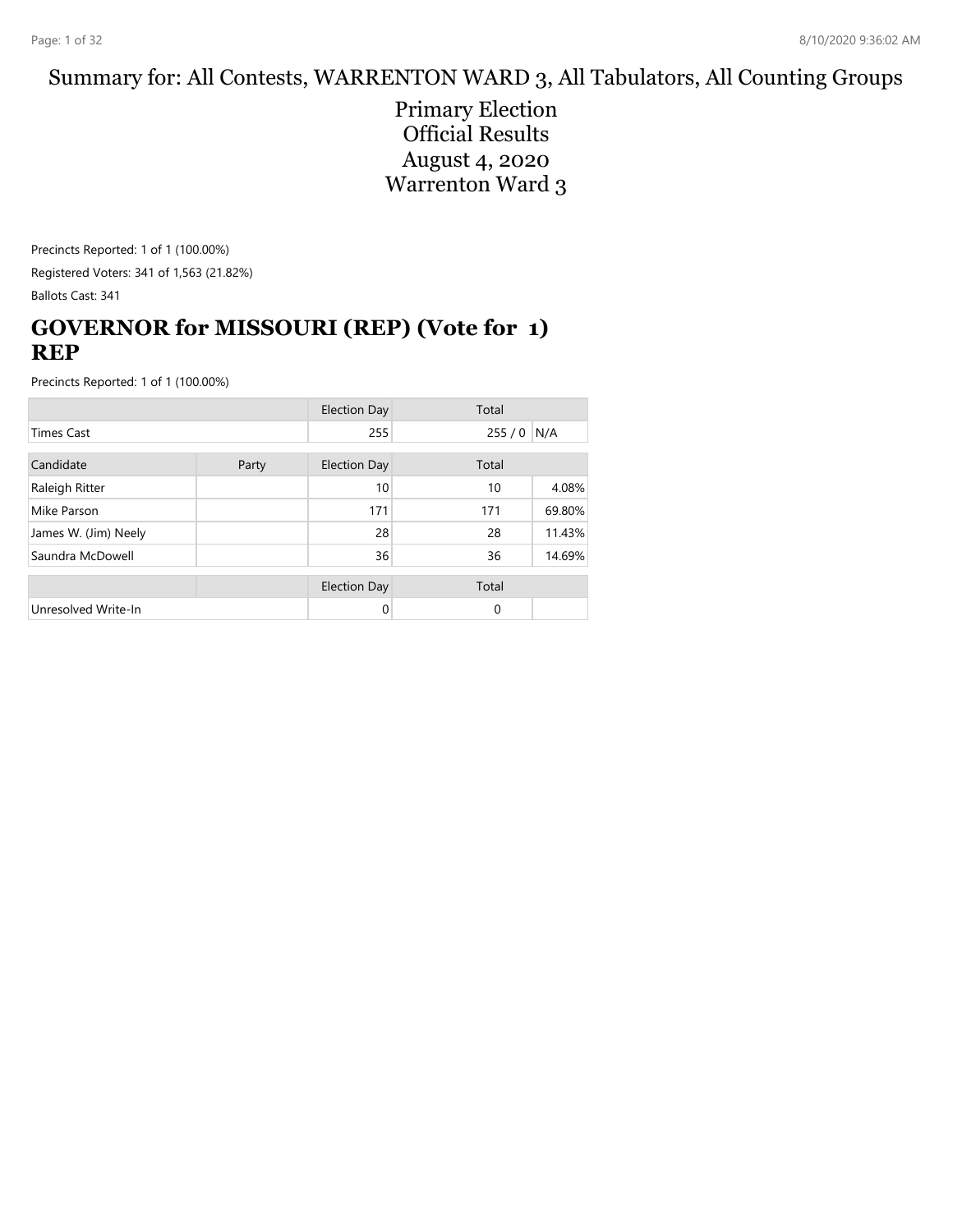#### Summary for: All Contests, WARRENTON WARD 3, All Tabulators, All Counting Groups

Primary Election Official Results August 4, 2020 Warrenton Ward 3

Precincts Reported: 1 of 1 (100.00%) Registered Voters: 341 of 1,563 (21.82%) Ballots Cast: 341

## **GOVERNOR for MISSOURI (REP) (Vote for 1) REP**

|                      |       | <b>Election Day</b> | Total    |        |
|----------------------|-------|---------------------|----------|--------|
| <b>Times Cast</b>    |       | 255                 | 255/0    | N/A    |
| Candidate            | Party | <b>Election Day</b> | Total    |        |
| Raleigh Ritter       |       | 10                  | 10       | 4.08%  |
| Mike Parson          |       | 171                 | 171      | 69.80% |
| James W. (Jim) Neely |       | 28                  | 28       | 11.43% |
| Saundra McDowell     |       | 36                  | 36       | 14.69% |
|                      |       | <b>Election Day</b> | Total    |        |
| Unresolved Write-In  |       | 0                   | $\Omega$ |        |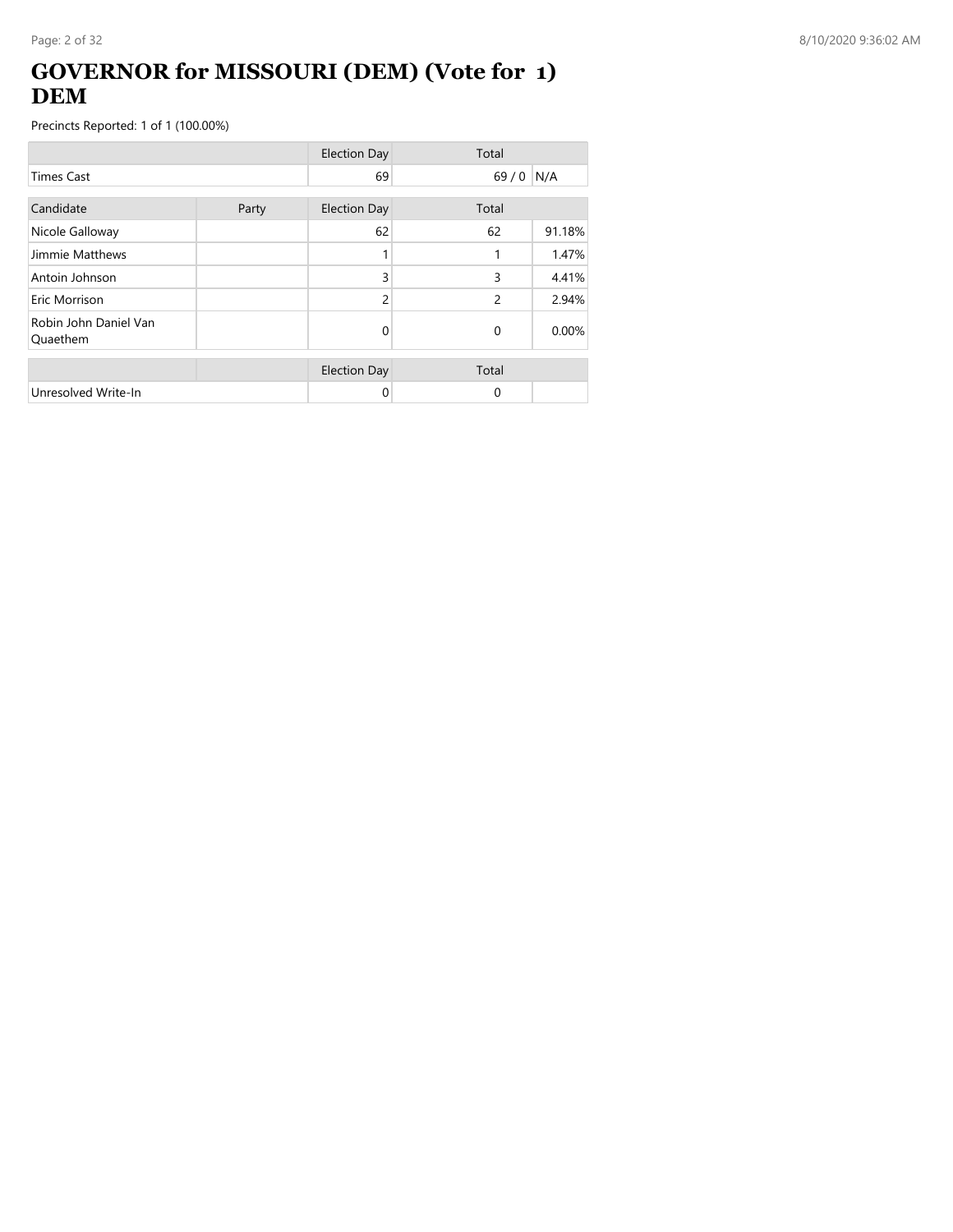## **GOVERNOR for MISSOURI (DEM) (Vote for 1) DEM**

|                                   |       | <b>Election Day</b> | Total    |        |
|-----------------------------------|-------|---------------------|----------|--------|
| <b>Times Cast</b>                 |       | 69                  | 69/0     | N/A    |
| Candidate                         | Party | <b>Election Day</b> | Total    |        |
| Nicole Galloway                   |       | 62                  | 62       | 91.18% |
| Jimmie Matthews                   |       |                     | 1        | 1.47%  |
| Antoin Johnson                    |       | 3                   | 3        | 4.41%  |
| Eric Morrison                     |       | $\overline{c}$      | 2        | 2.94%  |
| Robin John Daniel Van<br>Quaethem |       | 0                   | $\Omega$ | 0.00%  |
|                                   |       | <b>Election Day</b> | Total    |        |
| Unresolved Write-In               |       | 0                   | 0        |        |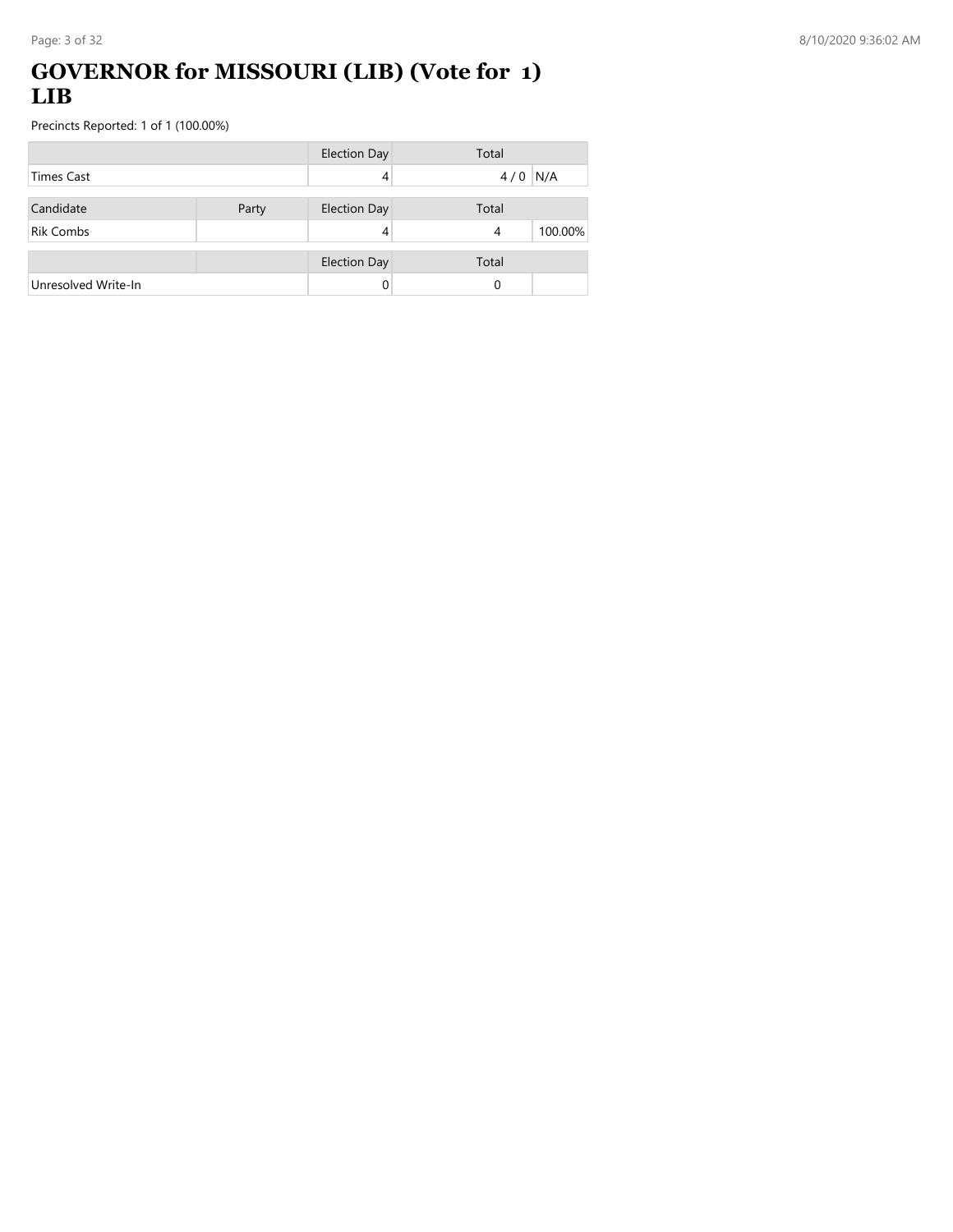#### **GOVERNOR for MISSOURI (LIB) (Vote for 1) LIB**

|                     |       | <b>Election Day</b> | Total                     |
|---------------------|-------|---------------------|---------------------------|
| Times Cast          |       |                     | N/A<br>4/0                |
| Candidate           | Party | <b>Election Day</b> | Total                     |
| <b>Rik Combs</b>    |       |                     | 100.00%<br>$\overline{4}$ |
|                     |       | <b>Election Day</b> | Total                     |
| Unresolved Write-In |       |                     | 0                         |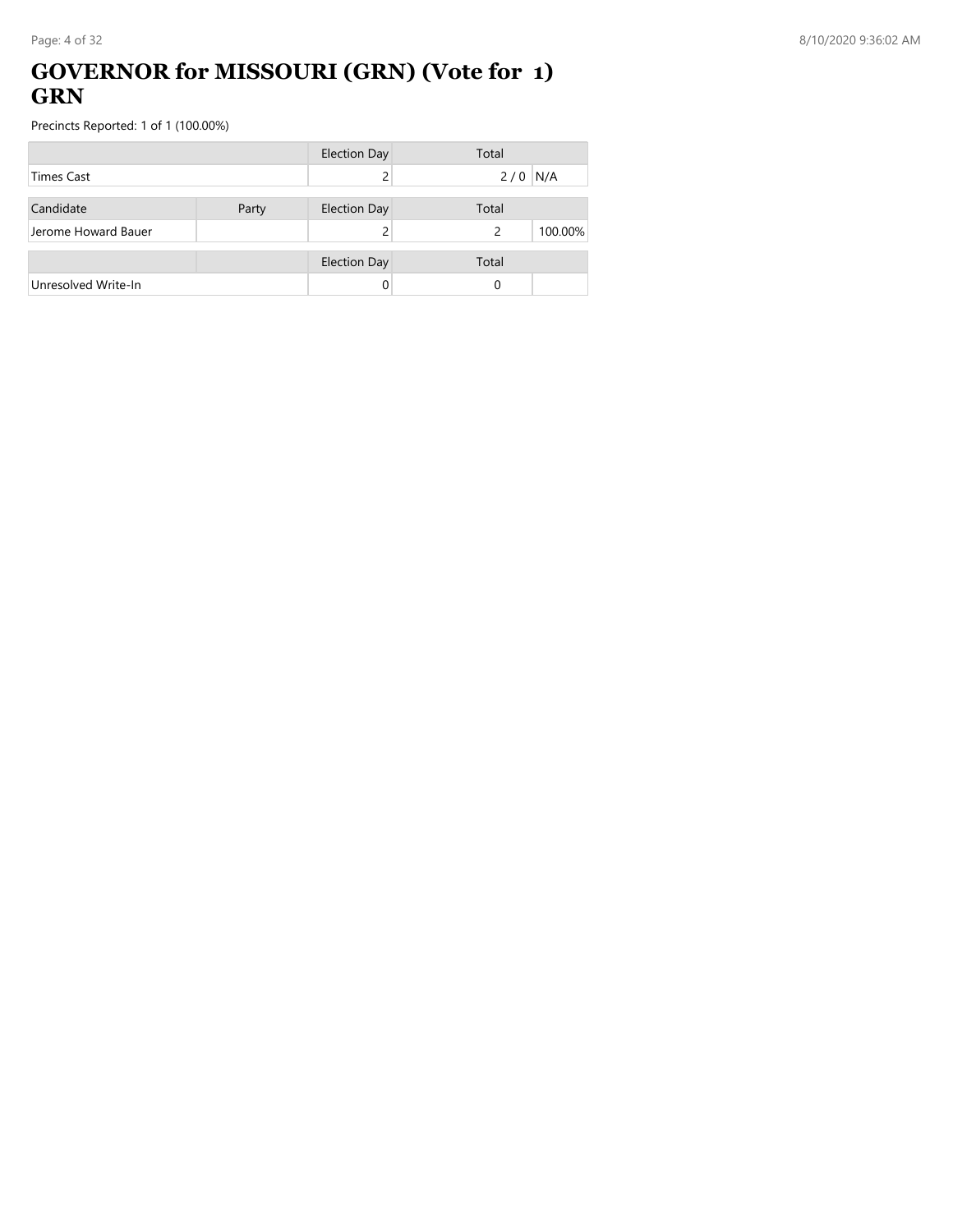### **GOVERNOR for MISSOURI (GRN) (Vote for 1) GRN**

|                     |       | <b>Election Day</b> | Total                    |
|---------------------|-------|---------------------|--------------------------|
| <b>Times Cast</b>   |       |                     | $2/0$ N/A                |
| Candidate           | Party | <b>Election Day</b> | Total                    |
| Jerome Howard Bauer |       |                     | 100.00%<br>$\mathcal{P}$ |
|                     |       | <b>Election Day</b> | Total                    |
| Unresolved Write-In |       |                     | 0                        |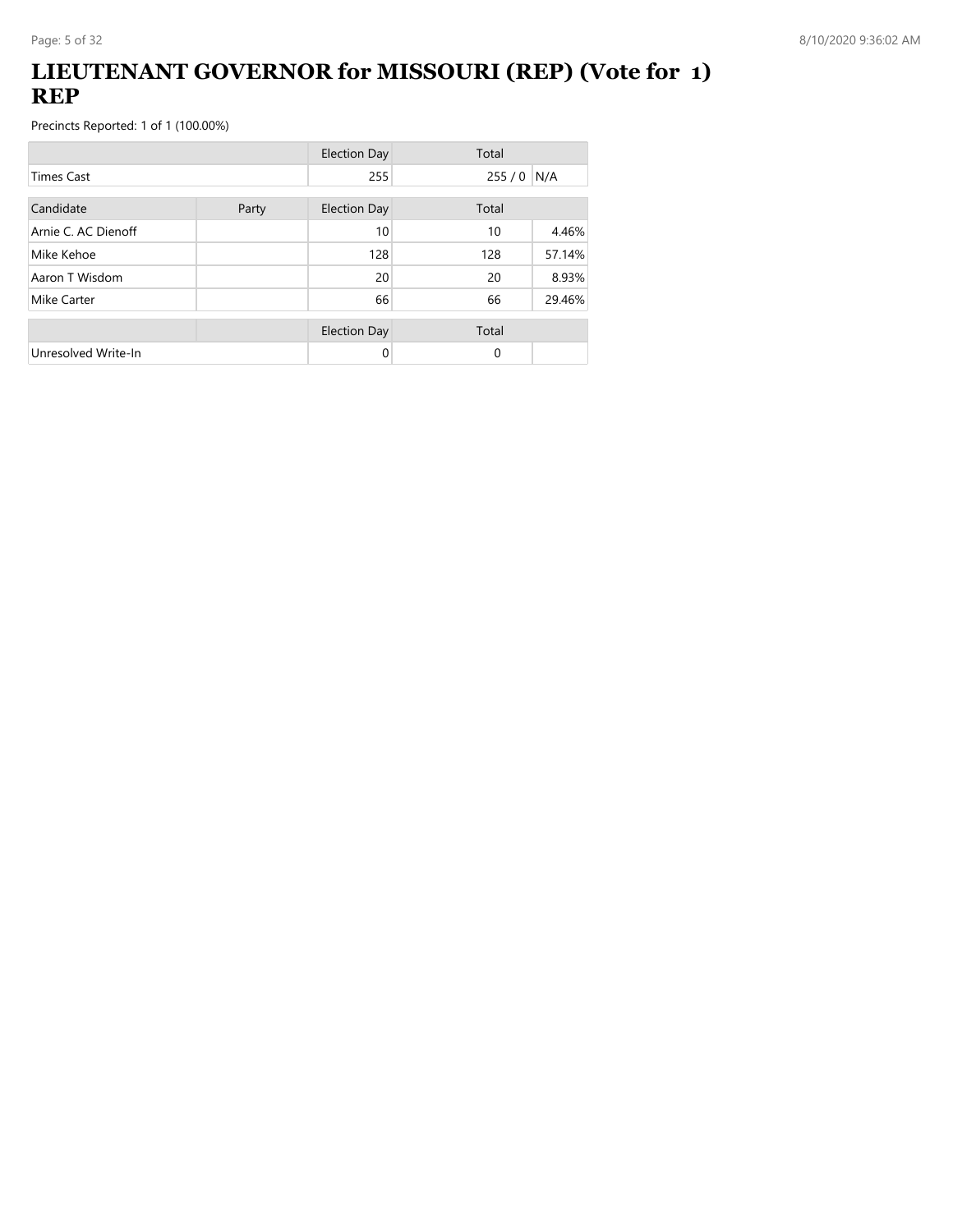## **LIEUTENANT GOVERNOR for MISSOURI (REP) (Vote for 1) REP**

|                     |       | <b>Election Day</b> | Total       |        |
|---------------------|-------|---------------------|-------------|--------|
| <b>Times Cast</b>   |       | 255                 | $255/0$ N/A |        |
| Candidate           | Party | <b>Election Day</b> | Total       |        |
| Arnie C. AC Dienoff |       | 10                  | 10          | 4.46%  |
| Mike Kehoe          |       | 128                 | 128         | 57.14% |
| Aaron T Wisdom      |       | 20                  | 20          | 8.93%  |
| Mike Carter         |       | 66                  | 66          | 29.46% |
|                     |       | <b>Election Day</b> | Total       |        |
| Unresolved Write-In |       | 0                   | $\Omega$    |        |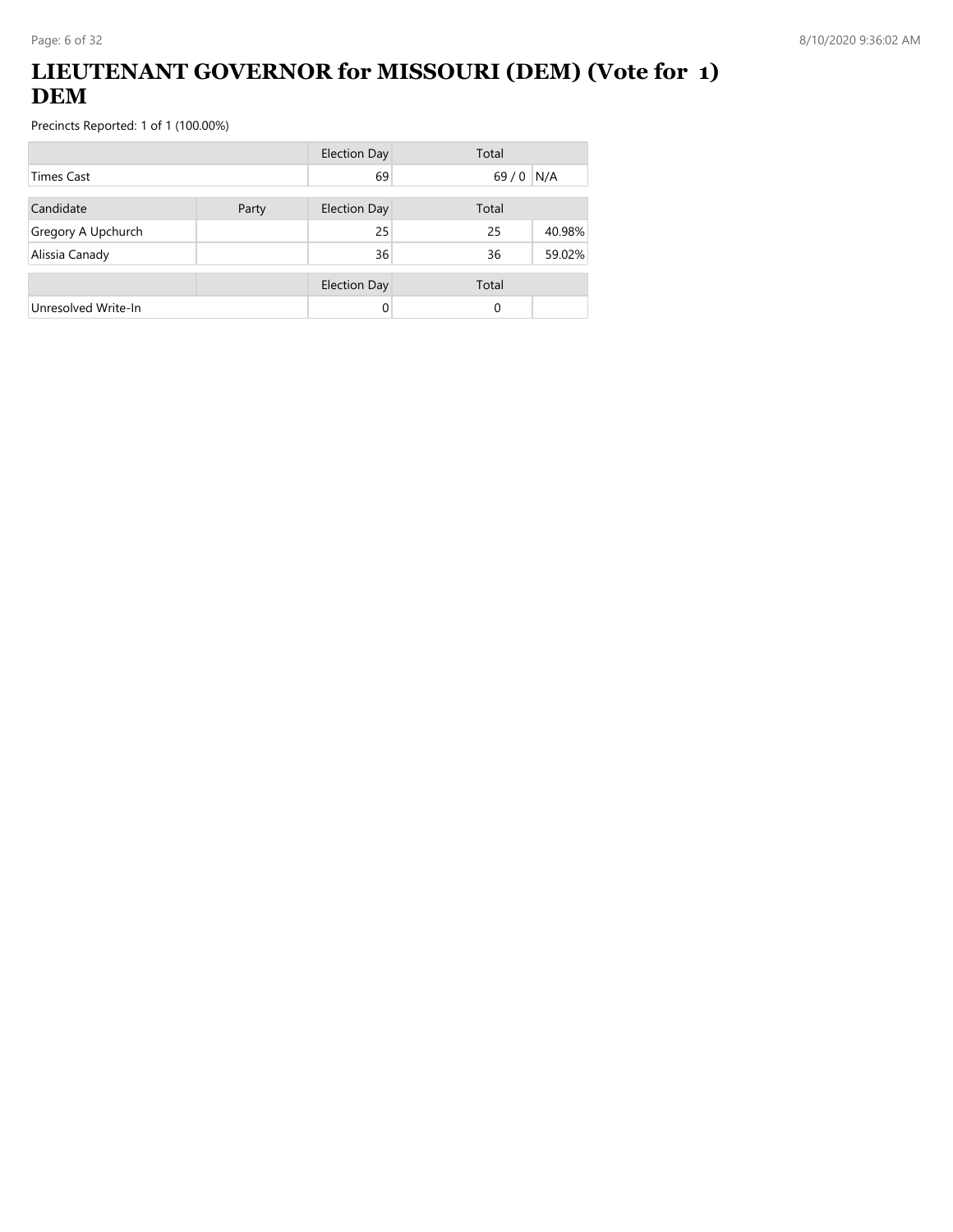## **LIEUTENANT GOVERNOR for MISSOURI (DEM) (Vote for 1) DEM**

|                     |       | <b>Election Day</b> | Total  |        |
|---------------------|-------|---------------------|--------|--------|
| Times Cast          |       | 69                  | $69/0$ | N/A    |
| Candidate           | Party | <b>Election Day</b> | Total  |        |
| Gregory A Upchurch  |       | 25                  | 25     | 40.98% |
| Alissia Canady      |       | 36                  | 36     | 59.02% |
|                     |       | <b>Election Day</b> | Total  |        |
| Unresolved Write-In |       | $\Omega$            | 0      |        |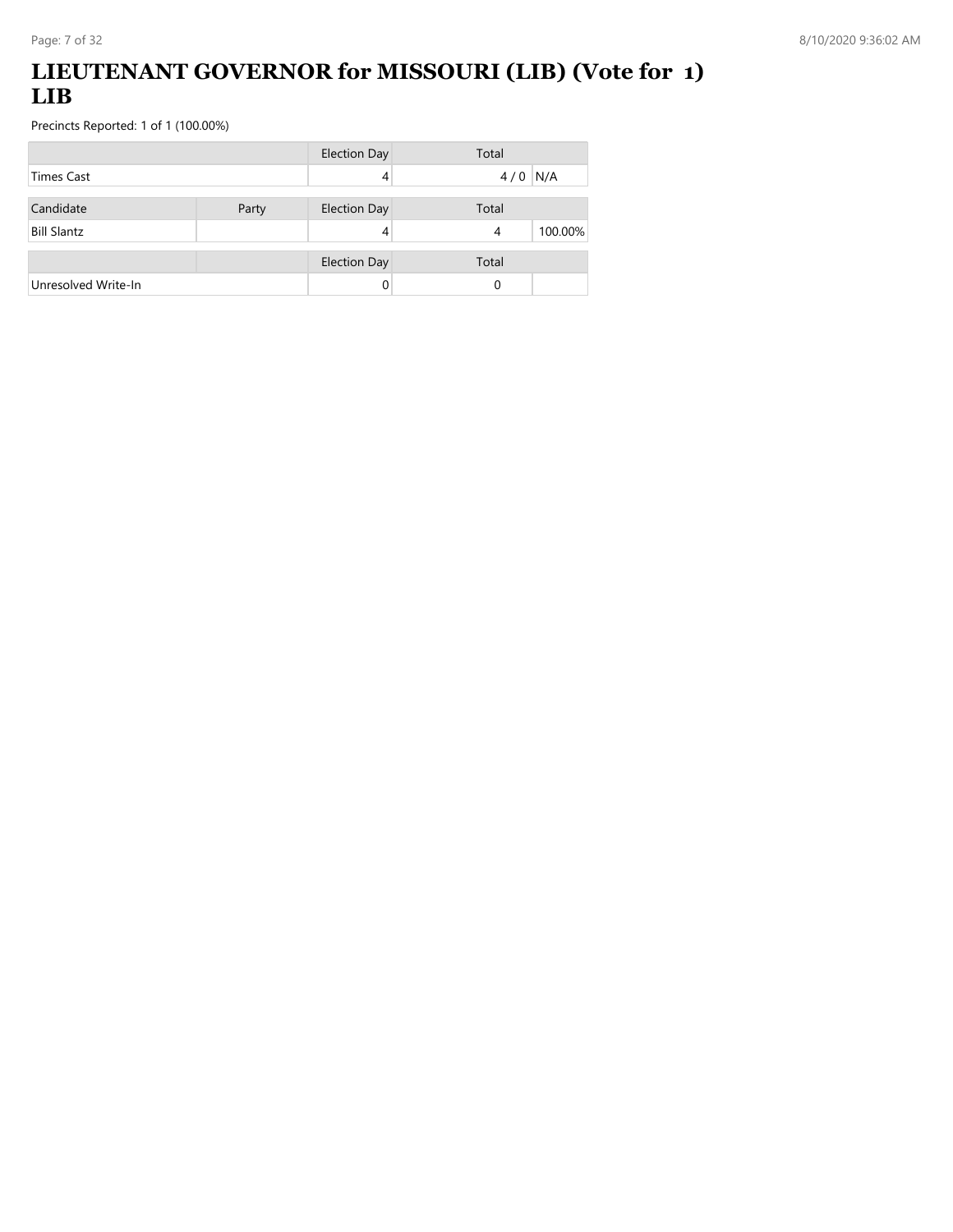## **LIEUTENANT GOVERNOR for MISSOURI (LIB) (Vote for 1) LIB**

|                     |       | <b>Election Day</b> | Total        |
|---------------------|-------|---------------------|--------------|
| Times Cast          |       |                     | N/A<br>4/0   |
| Candidate           | Party | <b>Election Day</b> | Total        |
| <b>Bill Slantz</b>  |       |                     | 100.00%<br>4 |
|                     |       | <b>Election Day</b> | Total        |
| Unresolved Write-In |       |                     | 0            |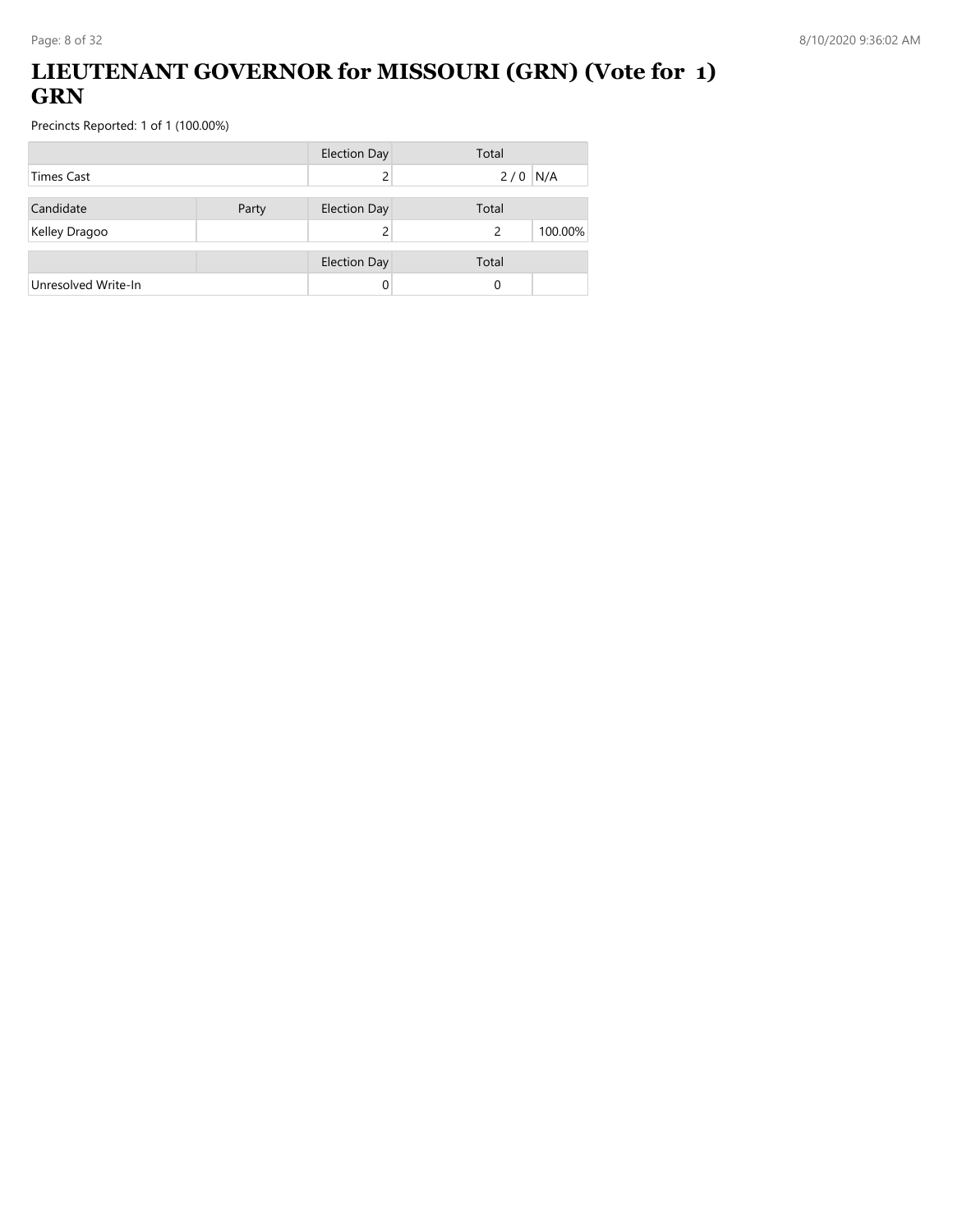## **LIEUTENANT GOVERNOR for MISSOURI (GRN) (Vote for 1) GRN**

|                     |       | <b>Election Day</b> | Total        |
|---------------------|-------|---------------------|--------------|
| Times Cast          |       |                     | $2/0$ N/A    |
| Candidate           | Party | <b>Election Day</b> | Total        |
| Kelley Dragoo       |       |                     | 100.00%<br>2 |
|                     |       | <b>Election Day</b> | Total        |
| Unresolved Write-In |       |                     | 0            |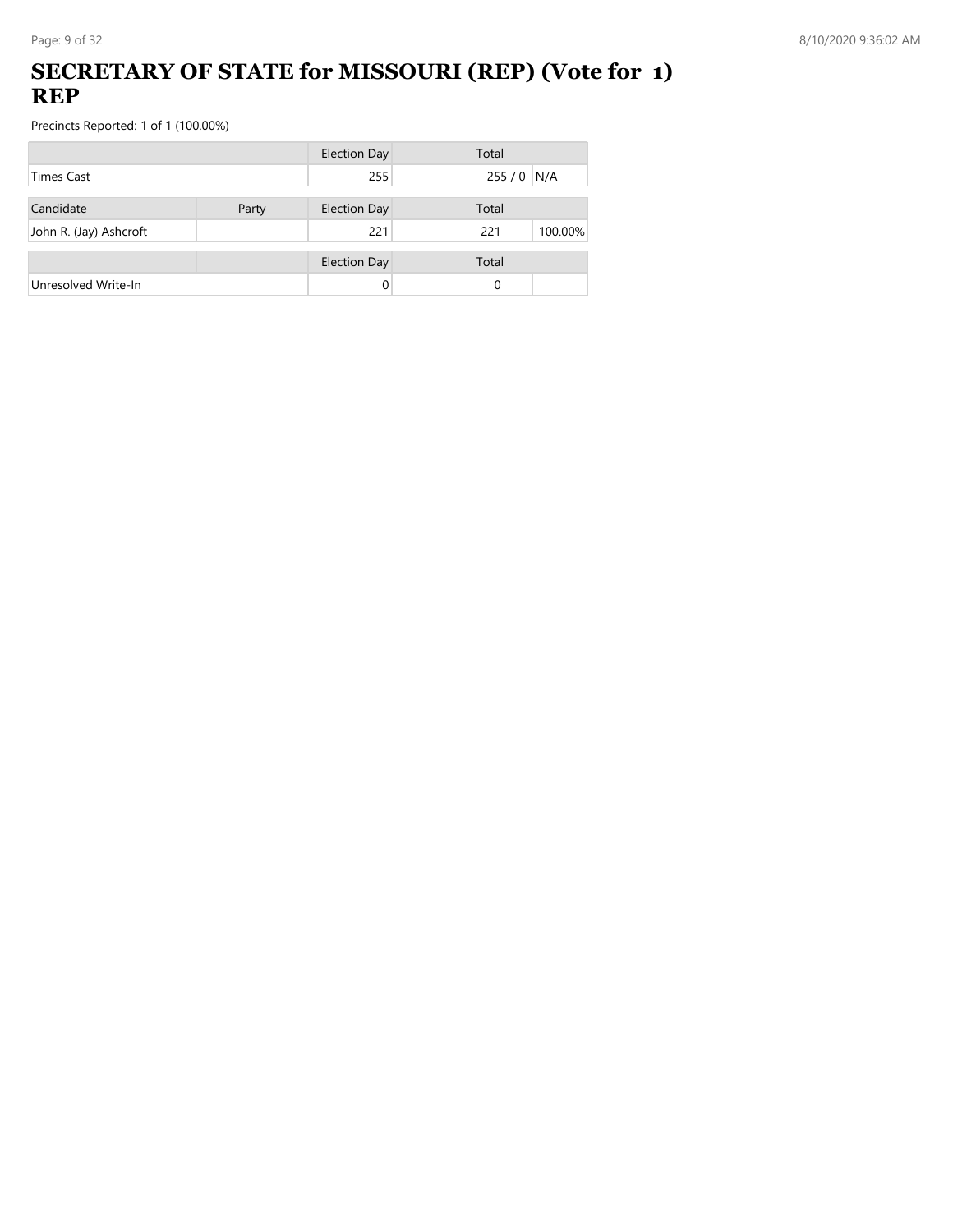## **SECRETARY OF STATE for MISSOURI (REP) (Vote for 1) REP**

|                        |       | <b>Election Day</b> | Total          |
|------------------------|-------|---------------------|----------------|
| <b>Times Cast</b>      |       | 255                 | $255/0$ N/A    |
| Candidate              | Party | <b>Election Day</b> | Total          |
| John R. (Jay) Ashcroft |       | 221                 | 221<br>100.00% |
|                        |       | <b>Election Day</b> | Total          |
| Unresolved Write-In    |       | 0                   | 0              |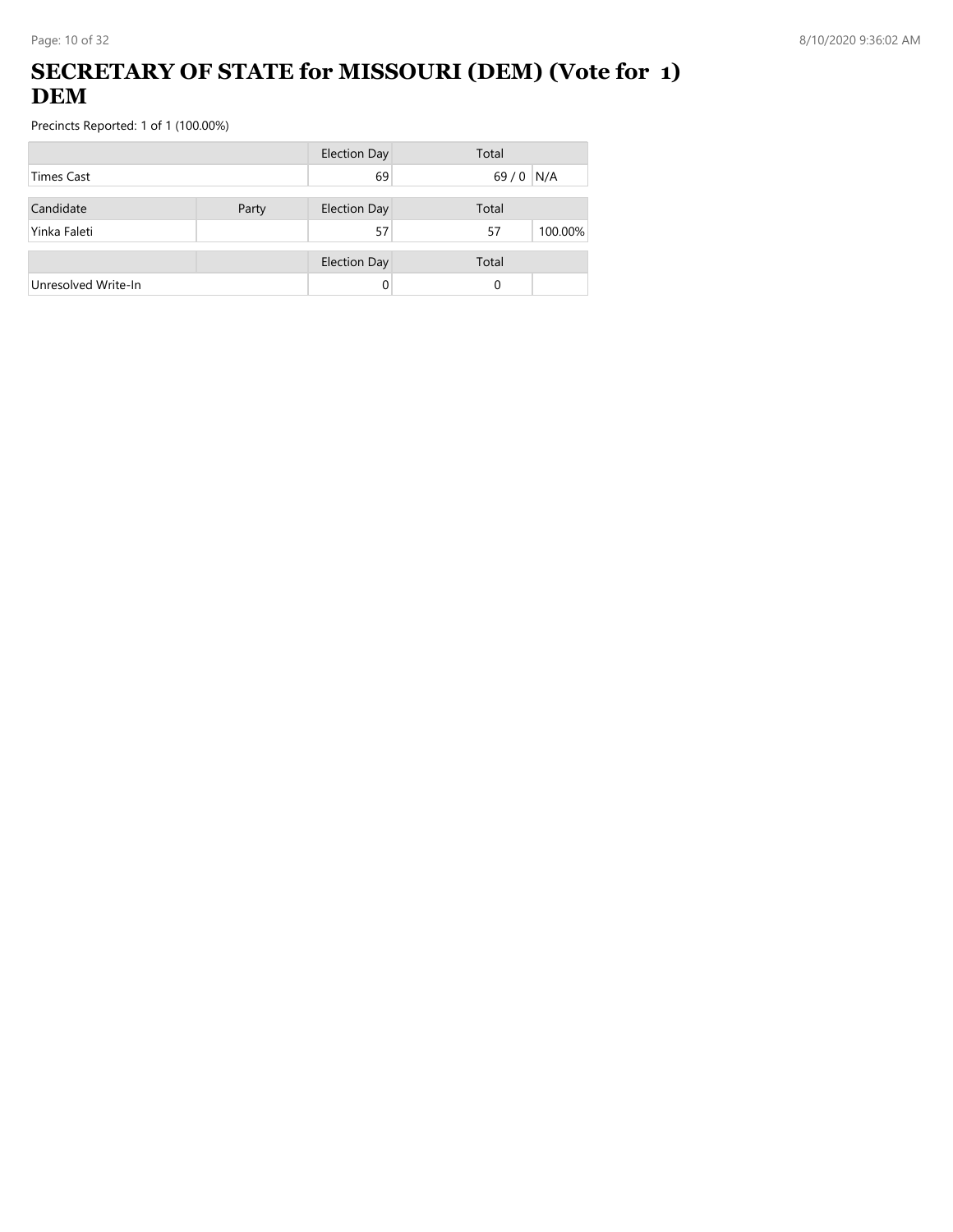## **SECRETARY OF STATE for MISSOURI (DEM) (Vote for 1) DEM**

|                     |       | <b>Election Day</b> | Total         |
|---------------------|-------|---------------------|---------------|
| Times Cast          |       | 69                  | $69/0$<br>N/A |
| Candidate           | Party | <b>Election Day</b> | Total         |
| Yinka Faleti        |       | 57                  | 100.00%<br>57 |
|                     |       | <b>Election Day</b> | Total         |
| Unresolved Write-In |       | 0                   | 0             |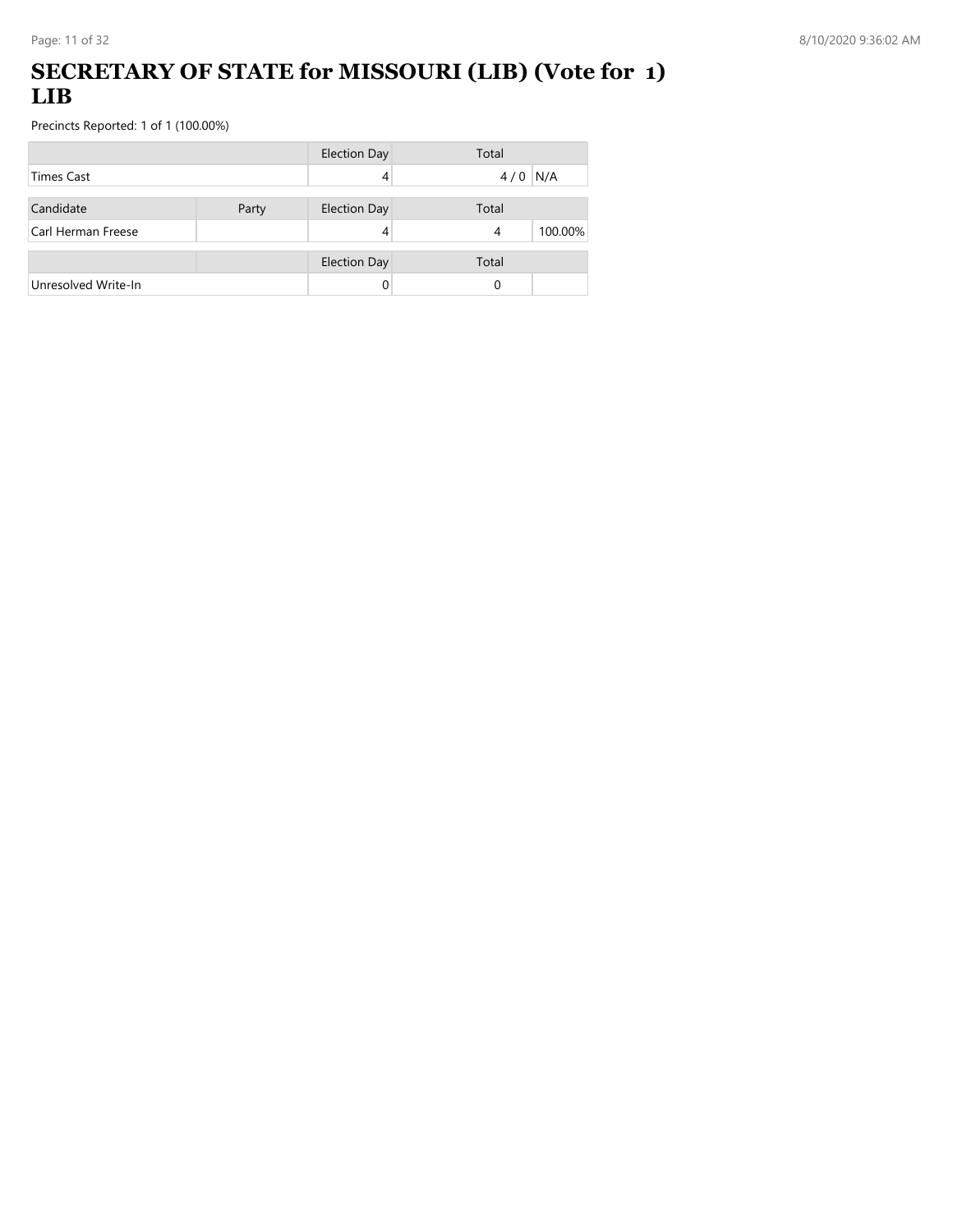## **SECRETARY OF STATE for MISSOURI (LIB) (Vote for 1) LIB**

|                     |       | <b>Election Day</b> | Total        |
|---------------------|-------|---------------------|--------------|
| <b>Times Cast</b>   |       |                     | N/A<br>4/0   |
| Candidate           | Party | <b>Election Day</b> | Total        |
| Carl Herman Freese  |       | 4                   | 100.00%<br>4 |
|                     |       | <b>Election Day</b> | Total        |
| Unresolved Write-In |       |                     | 0            |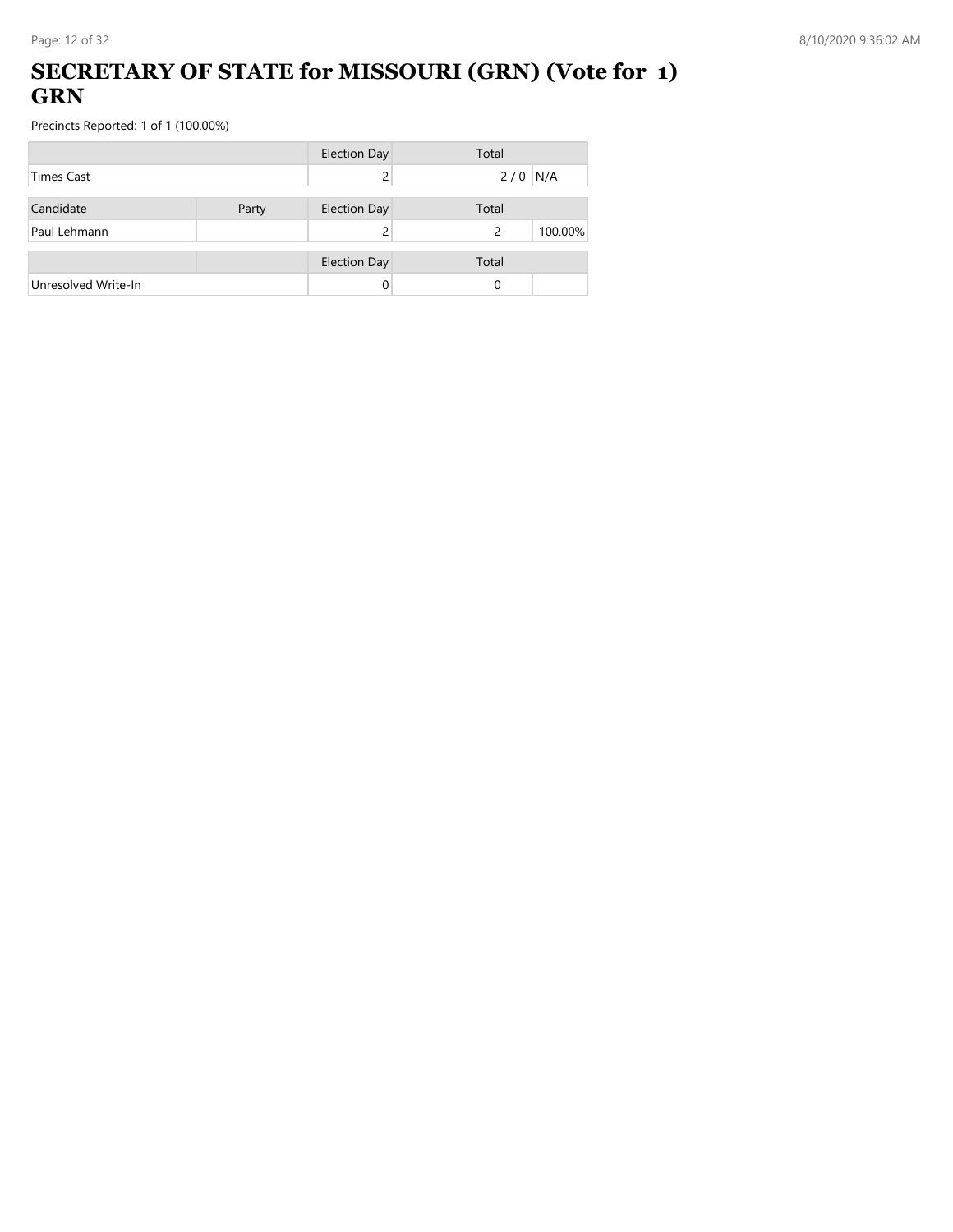### **SECRETARY OF STATE for MISSOURI (GRN) (Vote for 1) GRN**

|                     |       | <b>Election Day</b> | Total        |
|---------------------|-------|---------------------|--------------|
| <b>Times Cast</b>   |       |                     | $2/0$ N/A    |
| Candidate           | Party | <b>Election Day</b> | Total        |
| Paul Lehmann        |       |                     | 100.00%<br>2 |
|                     |       | <b>Election Day</b> | Total        |
| Unresolved Write-In |       | 0                   | 0            |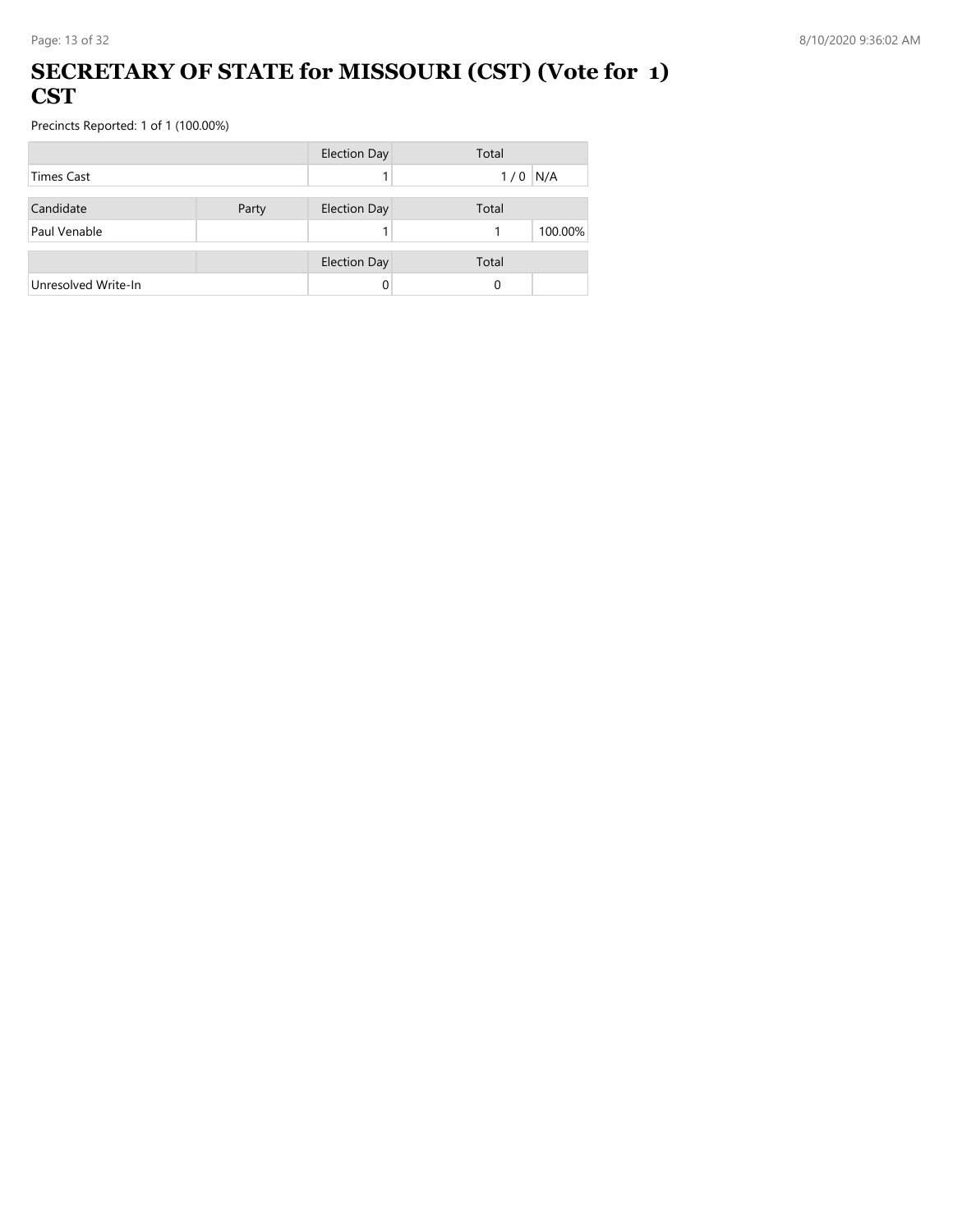#### **SECRETARY OF STATE for MISSOURI (CST) (Vote for 1) CST**

|                     |       | <b>Election Day</b> | Total        |
|---------------------|-------|---------------------|--------------|
| <b>Times Cast</b>   |       |                     | N/A<br>1/0   |
| Candidate           | Party | <b>Election Day</b> | Total        |
| Paul Venable        |       |                     | 100.00%<br>1 |
|                     |       | <b>Election Day</b> | Total        |
| Unresolved Write-In |       | 0                   | 0            |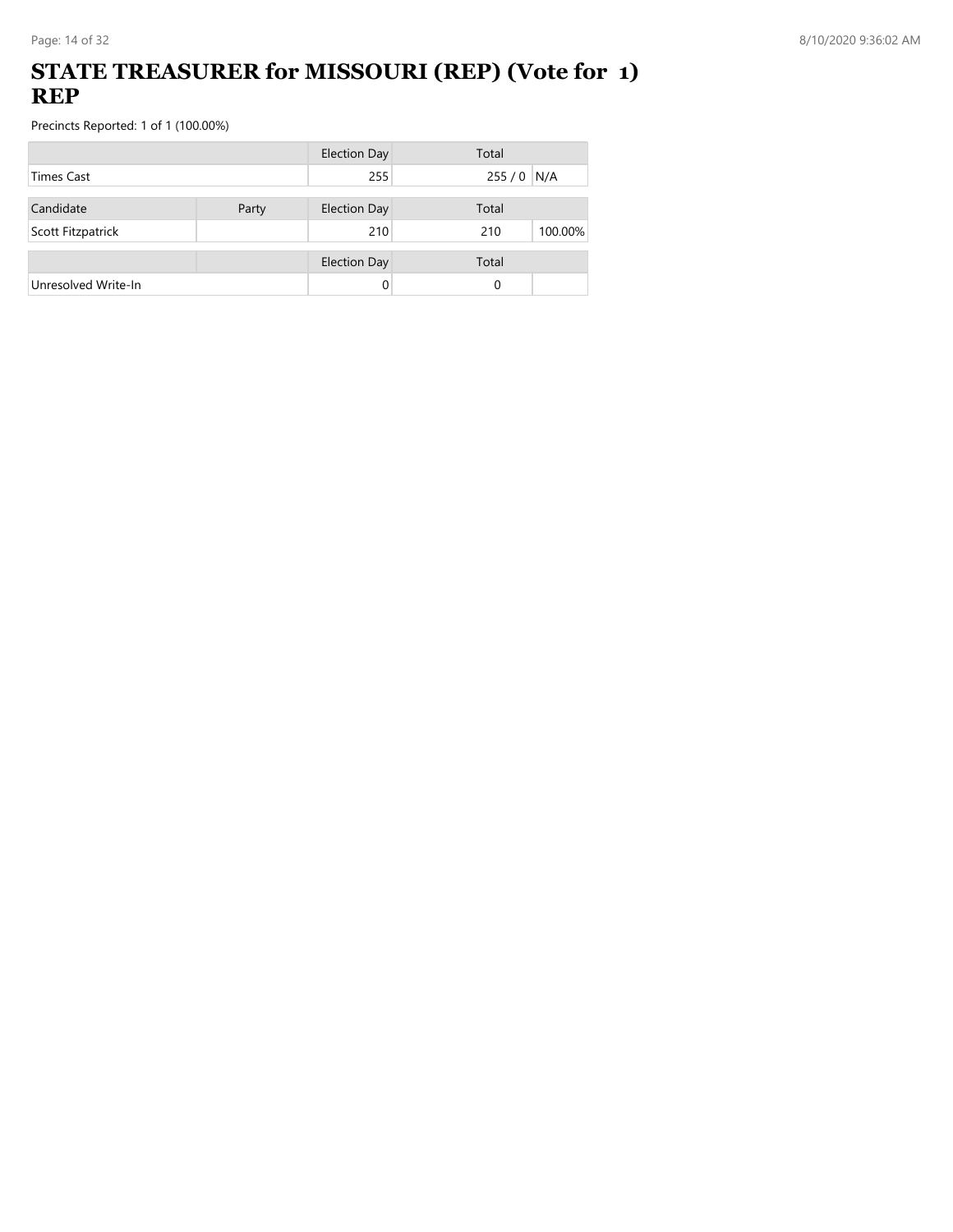### **STATE TREASURER for MISSOURI (REP) (Vote for 1) REP**

|                     |       | <b>Election Day</b> | Total          |
|---------------------|-------|---------------------|----------------|
| <b>Times Cast</b>   |       | 255                 | $255/0$ N/A    |
| Candidate           | Party | <b>Election Day</b> | Total          |
| Scott Fitzpatrick   |       | 210                 | 210<br>100.00% |
|                     |       |                     |                |
|                     |       | <b>Election Day</b> | Total          |
| Unresolved Write-In |       | 0                   | 0              |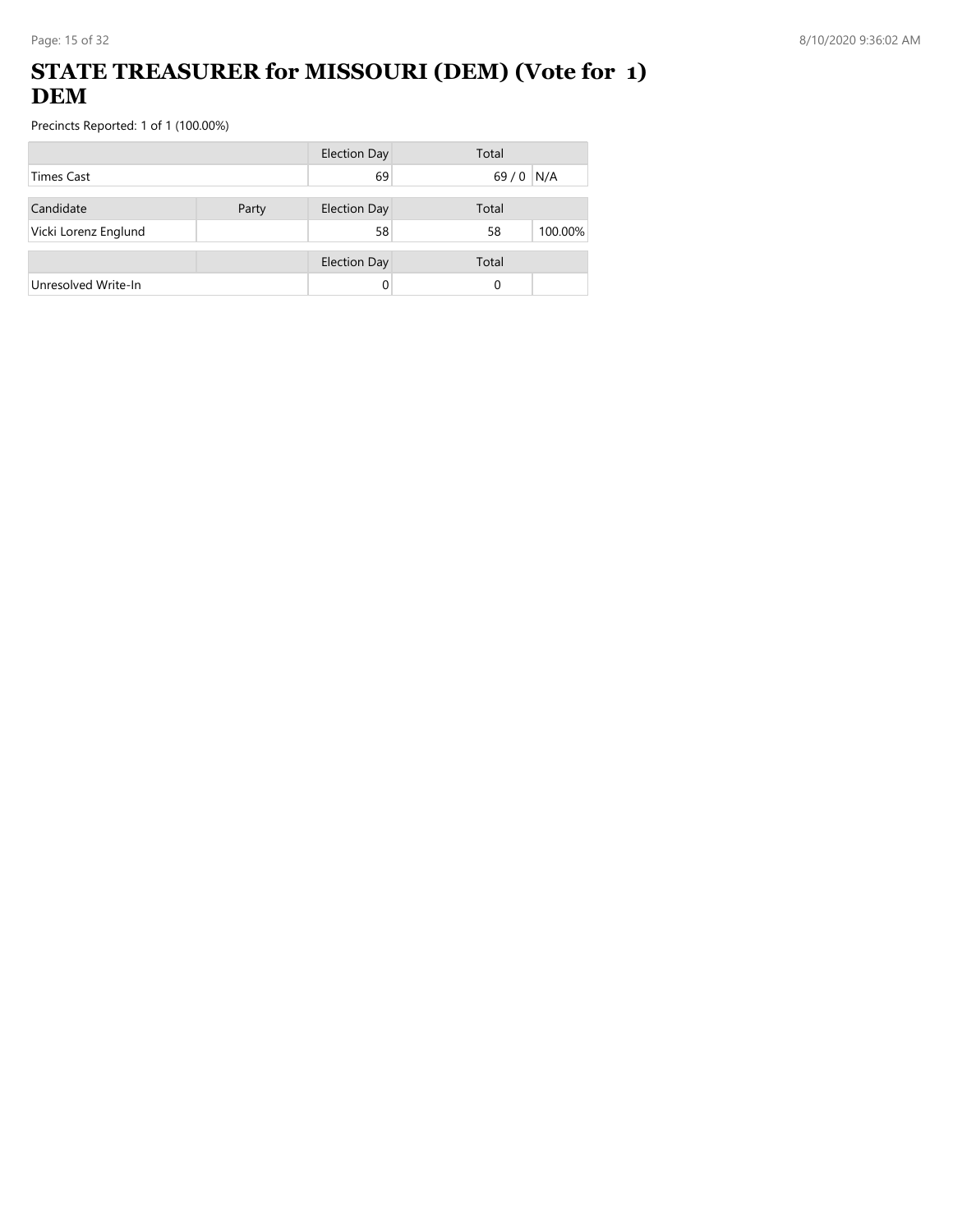## **STATE TREASURER for MISSOURI (DEM) (Vote for 1) DEM**

|                      |       | <b>Election Day</b> | Total         |
|----------------------|-------|---------------------|---------------|
| <b>Times Cast</b>    |       | 69                  | N/A<br>$69/0$ |
| Candidate            | Party | <b>Election Day</b> | Total         |
| Vicki Lorenz Englund |       | 58                  | 100.00%<br>58 |
|                      |       | <b>Election Day</b> | Total         |
| Unresolved Write-In  |       |                     | 0             |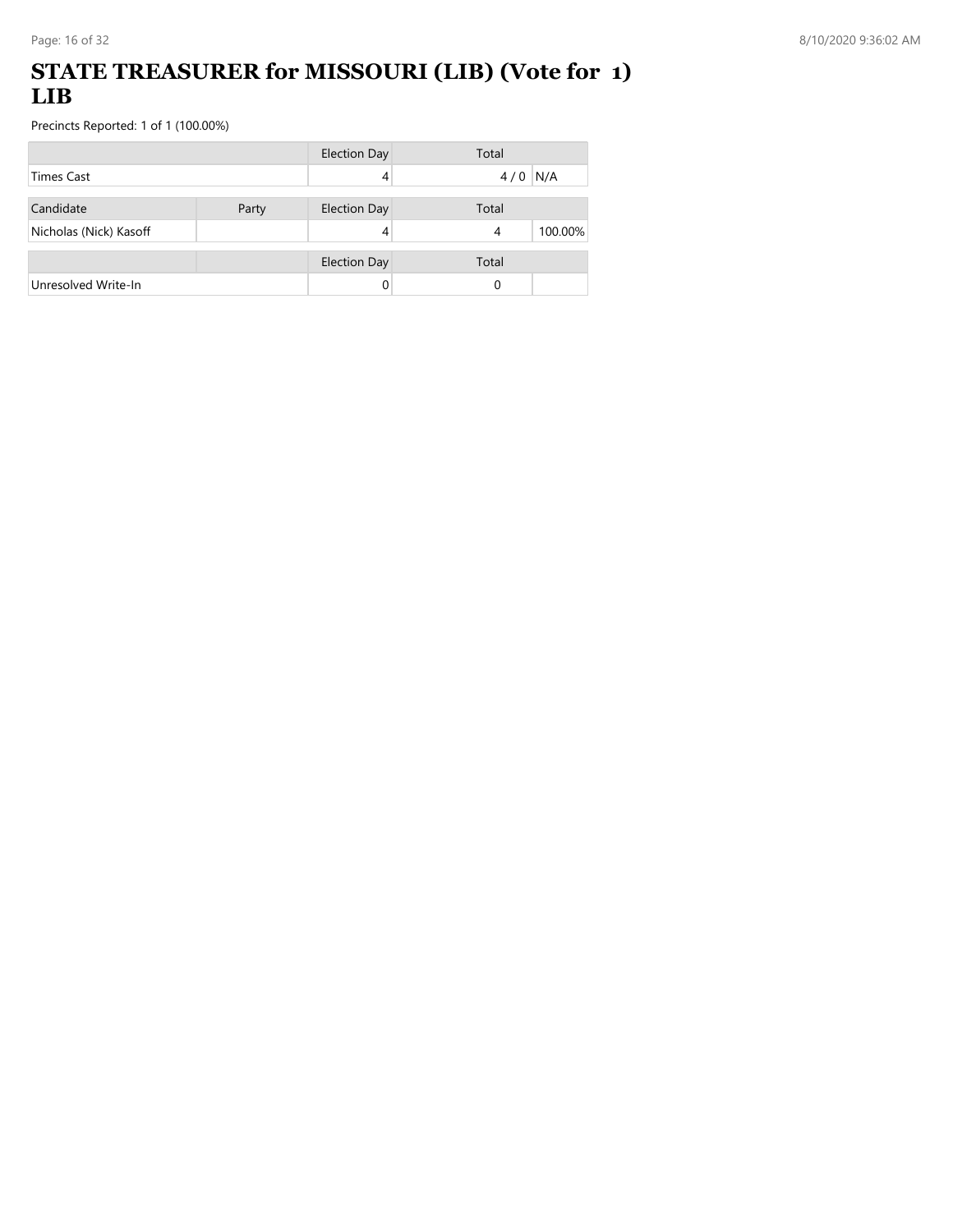### **STATE TREASURER for MISSOURI (LIB) (Vote for 1) LIB**

|                        |       | <b>Election Day</b> | Total        |
|------------------------|-------|---------------------|--------------|
| <b>Times Cast</b>      |       |                     | N/A<br>4/0   |
| Candidate              | Party | <b>Election Day</b> | Total        |
| Nicholas (Nick) Kasoff |       |                     | 100.00%<br>4 |
|                        |       | <b>Election Day</b> | Total        |
| Unresolved Write-In    |       | 0                   | 0            |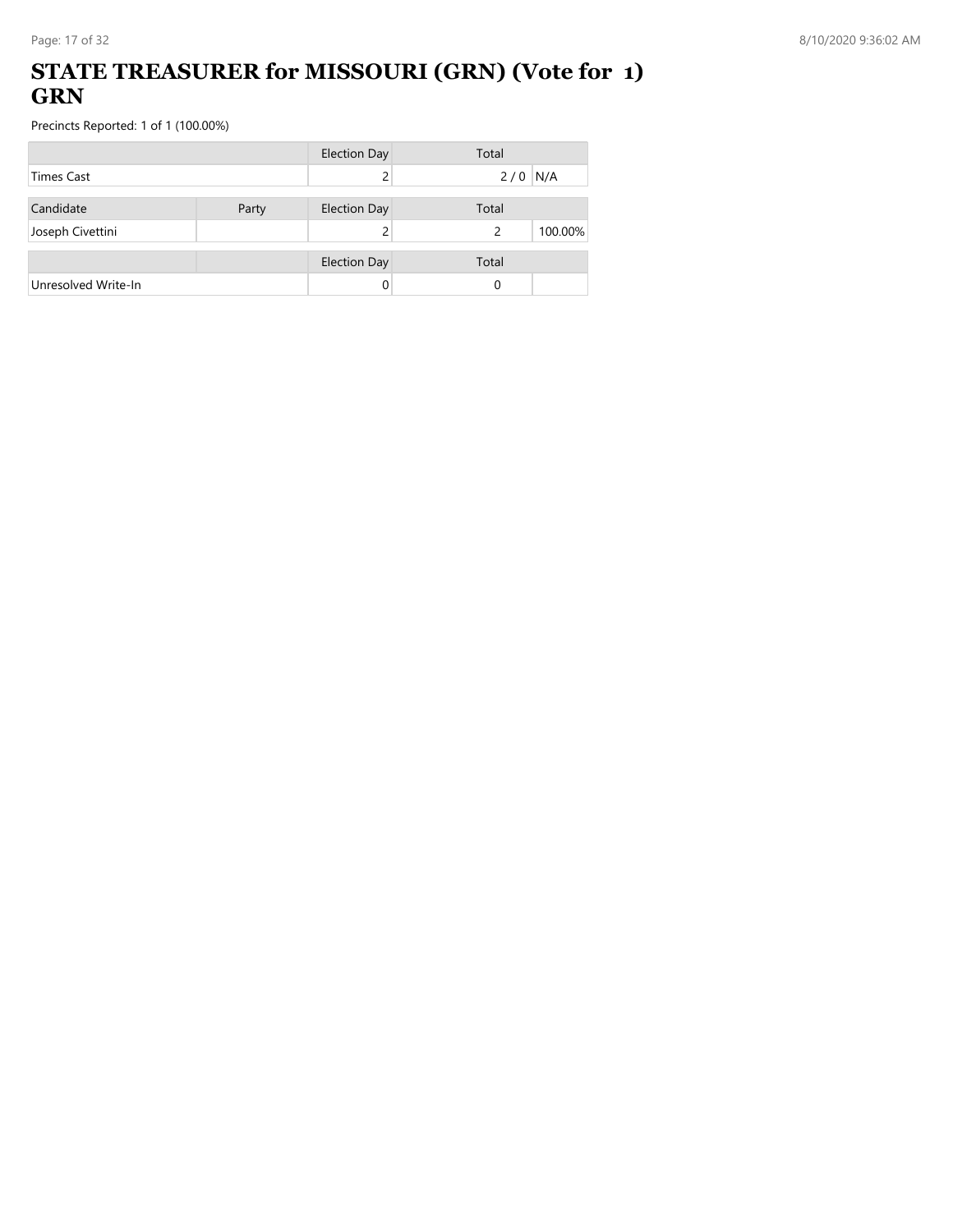## **STATE TREASURER for MISSOURI (GRN) (Vote for 1) GRN**

|                     |       | <b>Election Day</b> | Total        |
|---------------------|-------|---------------------|--------------|
| <b>Times Cast</b>   |       |                     | $2/0$ N/A    |
| Candidate           | Party | <b>Election Day</b> | Total        |
| Joseph Civettini    |       |                     | 100.00%<br>2 |
|                     |       | <b>Election Day</b> | Total        |
| Unresolved Write-In |       | 0                   | 0            |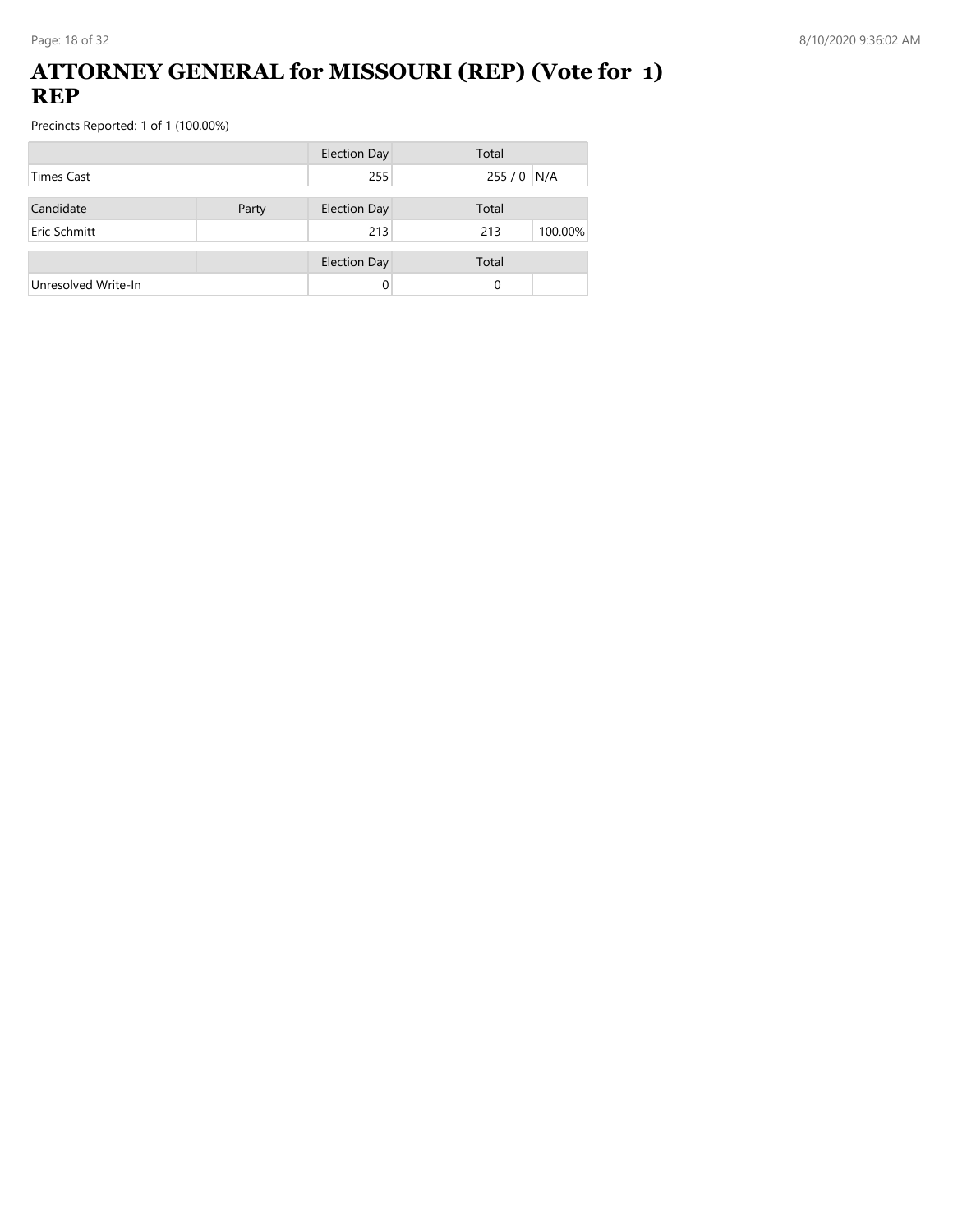#### **ATTORNEY GENERAL for MISSOURI (REP) (Vote for 1) REP**

|                     |       | <b>Election Day</b> | Total          |
|---------------------|-------|---------------------|----------------|
| <b>Times Cast</b>   |       | 255                 | $255/0$ N/A    |
| Candidate           | Party | <b>Election Day</b> | Total          |
| Eric Schmitt        |       | 213                 | 100.00%<br>213 |
|                     |       | <b>Election Day</b> | Total          |
| Unresolved Write-In |       | 0                   | 0              |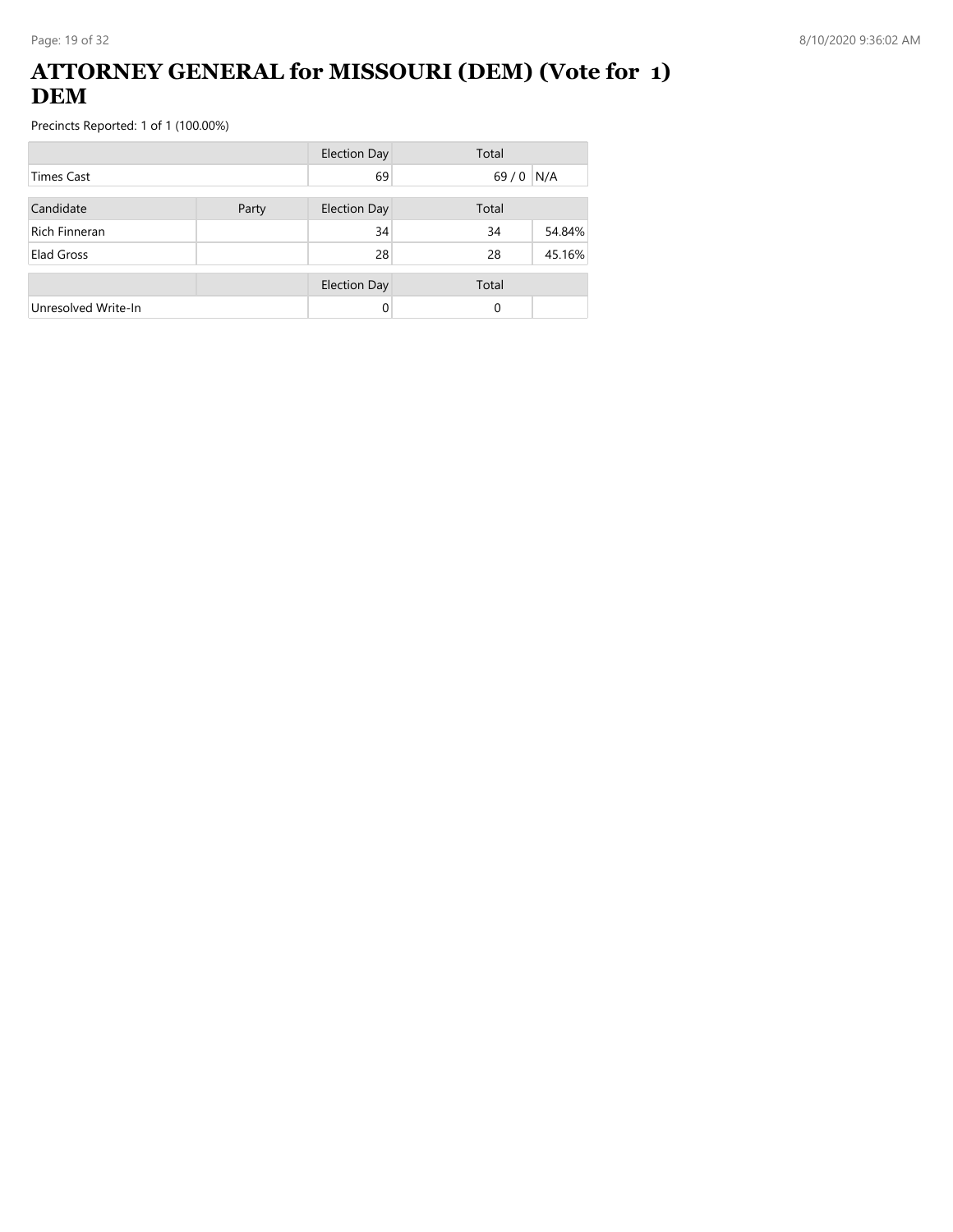### **ATTORNEY GENERAL for MISSOURI (DEM) (Vote for 1) DEM**

|                      |       | <b>Election Day</b> | Total    |        |
|----------------------|-------|---------------------|----------|--------|
| <b>Times Cast</b>    |       | 69                  | $69/0$   | N/A    |
| Candidate            | Party | <b>Election Day</b> | Total    |        |
| <b>Rich Finneran</b> |       | 34                  | 34       | 54.84% |
| Elad Gross           |       | 28                  | 28       | 45.16% |
|                      |       | <b>Election Day</b> | Total    |        |
| Unresolved Write-In  |       | 0                   | $\Omega$ |        |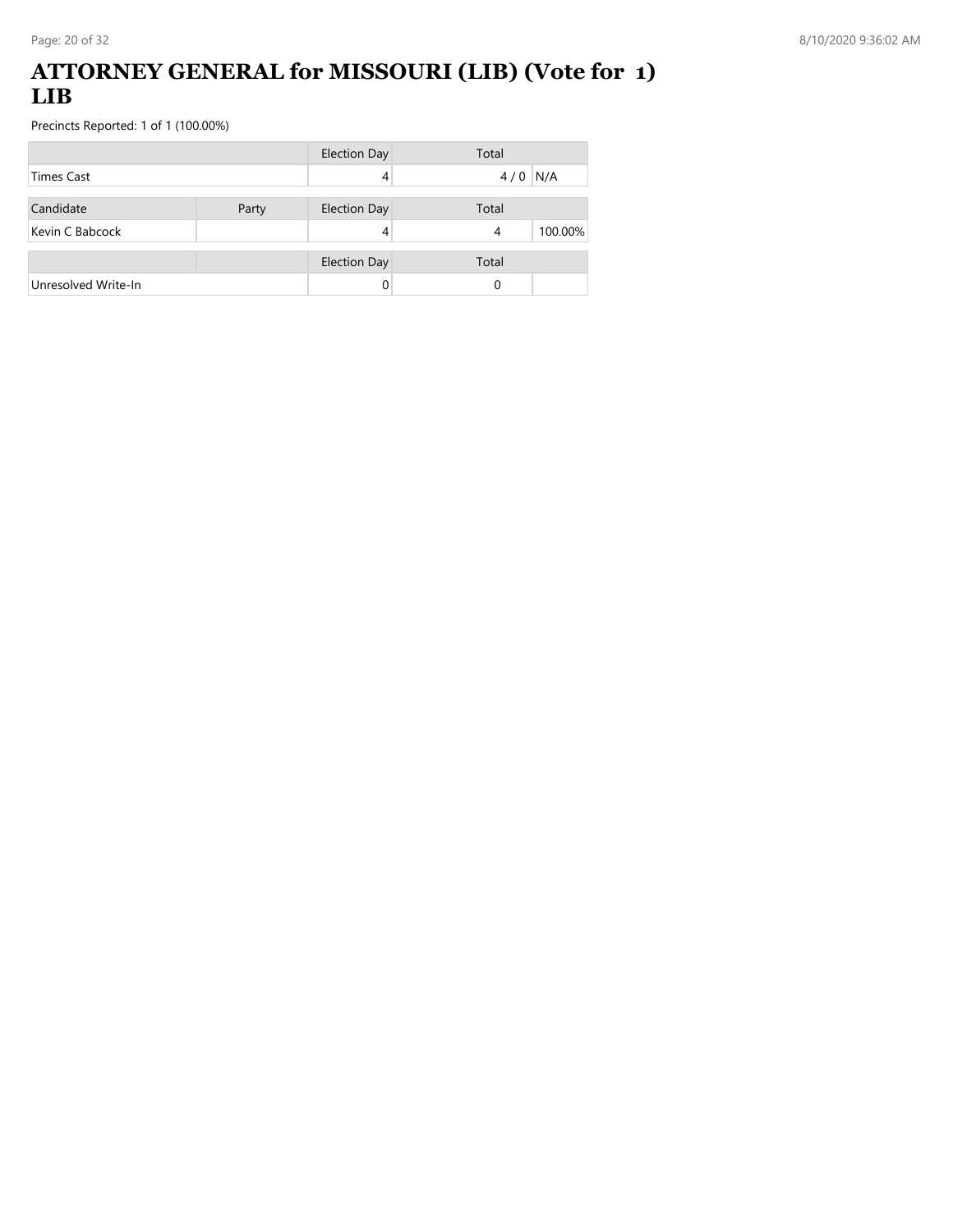#### **ATTORNEY GENERAL for MISSOURI (LIB) (Vote for 1) LIB**

|                     |       | <b>Election Day</b> | Total        |
|---------------------|-------|---------------------|--------------|
| <b>Times Cast</b>   |       |                     | N/A<br>4/0   |
| Candidate           | Party | <b>Election Day</b> | Total        |
| Kevin C Babcock     |       | 4                   | 100.00%<br>4 |
|                     |       | <b>Election Day</b> | Total        |
| Unresolved Write-In |       |                     | 0            |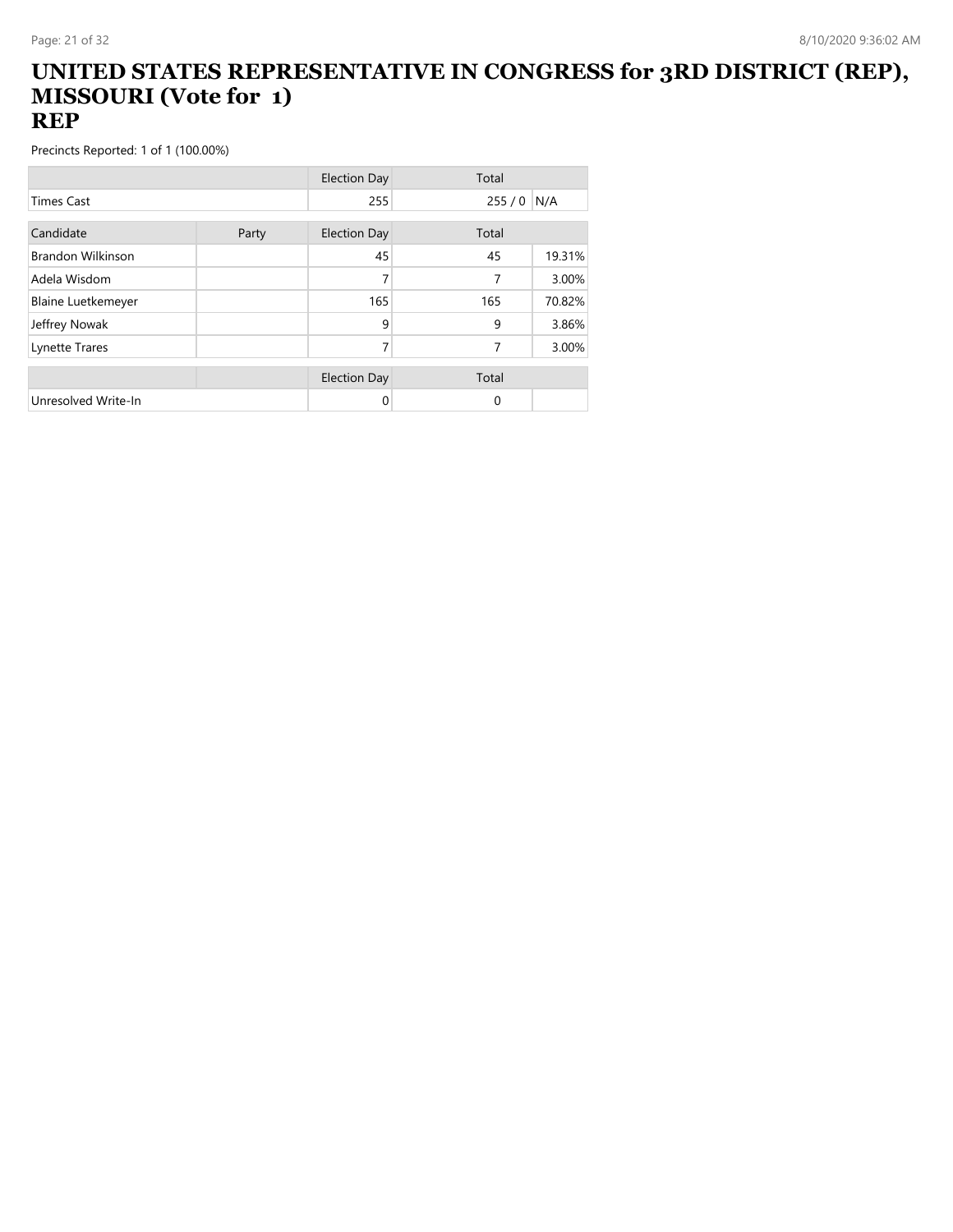#### **UNITED STATES REPRESENTATIVE IN CONGRESS for 3RD DISTRICT (REP), MISSOURI (Vote for 1) REP**

|                           |       | <b>Election Day</b> | Total |        |
|---------------------------|-------|---------------------|-------|--------|
| <b>Times Cast</b>         |       | 255                 | 255/0 | N/A    |
| Candidate                 |       | <b>Election Day</b> | Total |        |
|                           | Party |                     |       |        |
| <b>Brandon Wilkinson</b>  |       | 45                  | 45    | 19.31% |
| Adela Wisdom              |       | 7                   | 7     | 3.00%  |
| <b>Blaine Luetkemeyer</b> |       | 165                 | 165   | 70.82% |
| Jeffrey Nowak             |       | 9                   | 9     | 3.86%  |
| Lynette Trares            |       | 7                   | 7     | 3.00%  |
|                           |       |                     |       |        |
|                           |       | <b>Election Day</b> | Total |        |
| Unresolved Write-In       |       | 0                   | 0     |        |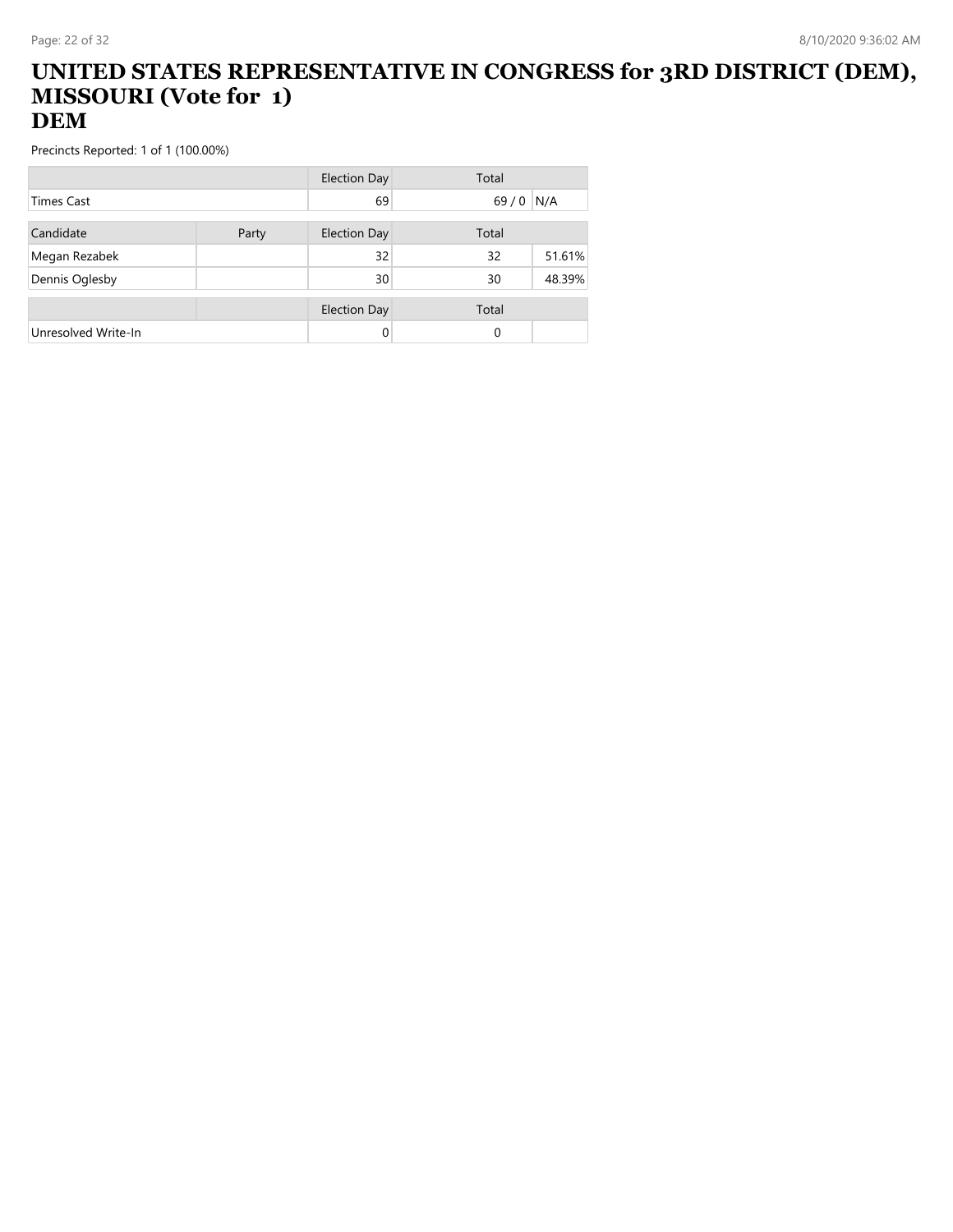#### **UNITED STATES REPRESENTATIVE IN CONGRESS for 3RD DISTRICT (DEM), MISSOURI (Vote for 1) DEM**

|                     |       | Election Day        | Total    |        |
|---------------------|-------|---------------------|----------|--------|
| <b>Times Cast</b>   |       | 69                  | $69/0$   | N/A    |
| Candidate           | Party | <b>Election Day</b> | Total    |        |
|                     |       |                     |          |        |
| Megan Rezabek       |       | 32                  | 32       | 51.61% |
| Dennis Oglesby      |       | 30                  | 30       | 48.39% |
|                     |       | <b>Election Day</b> | Total    |        |
| Unresolved Write-In |       | 0                   | $\Omega$ |        |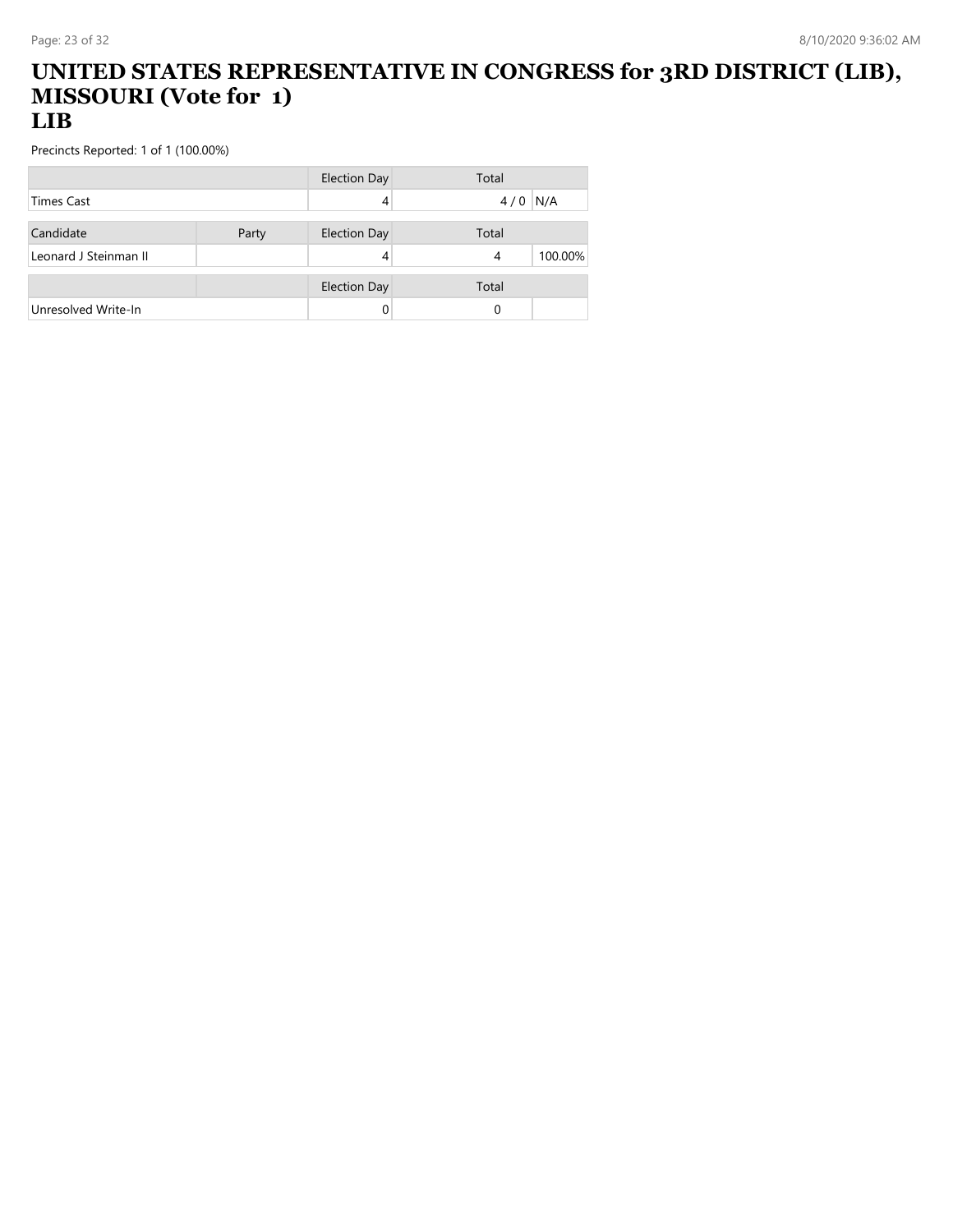#### **UNITED STATES REPRESENTATIVE IN CONGRESS for 3RD DISTRICT (LIB), MISSOURI (Vote for 1) LIB**

|                       |       | Election Day        | Total |         |
|-----------------------|-------|---------------------|-------|---------|
| <b>Times Cast</b>     |       | 4                   | 4/0   | N/A     |
| Candidate             |       | <b>Election Day</b> | Total |         |
|                       | Party |                     |       |         |
| Leonard J Steinman II |       |                     | 4     | 100.00% |
|                       |       | <b>Election Day</b> | Total |         |
| Unresolved Write-In   |       |                     | 0     |         |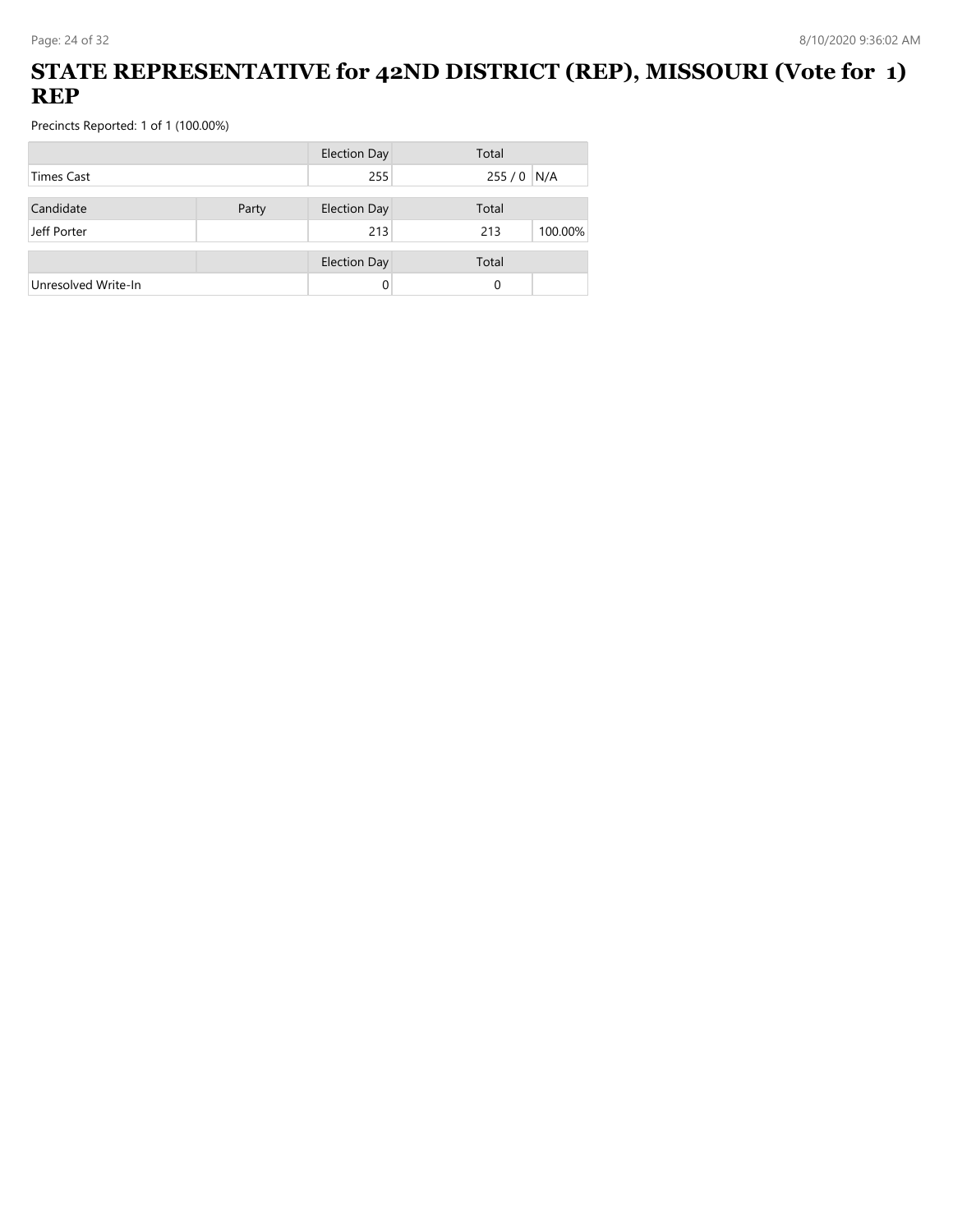## **STATE REPRESENTATIVE for 42ND DISTRICT (REP), MISSOURI (Vote for 1) REP**

| <b>Election Day</b> | Total                                      |
|---------------------|--------------------------------------------|
| 255                 | 255 / 0 N/A                                |
|                     | Total                                      |
| 213                 | 100.00%<br>213                             |
|                     | Total                                      |
|                     | 0                                          |
| Party               | <b>Election Day</b><br><b>Election Day</b> |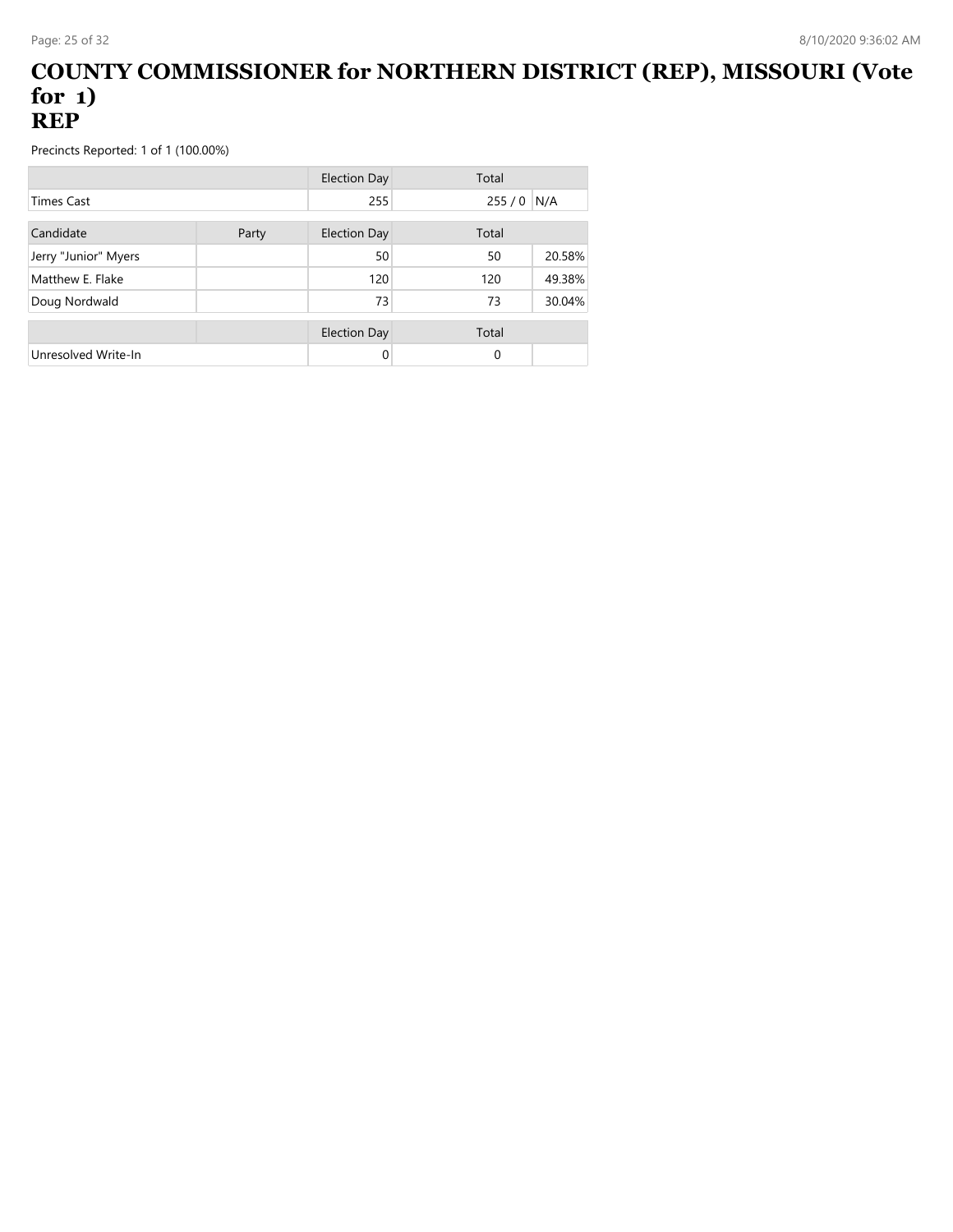#### **COUNTY COMMISSIONER for NORTHERN DISTRICT (REP), MISSOURI (Vote for 1) REP**

|                      |       | Election Day        | Total |        |
|----------------------|-------|---------------------|-------|--------|
| <b>Times Cast</b>    |       | 255                 | 255/0 | N/A    |
| Candidate            | Party | <b>Election Day</b> | Total |        |
| Jerry "Junior" Myers |       | 50                  | 50    | 20.58% |
| Matthew E. Flake     |       | 120                 | 120   | 49.38% |
| Doug Nordwald        |       | 73                  | 73    | 30.04% |
|                      |       | Election Day        | Total |        |
| Unresolved Write-In  |       | 0                   | 0     |        |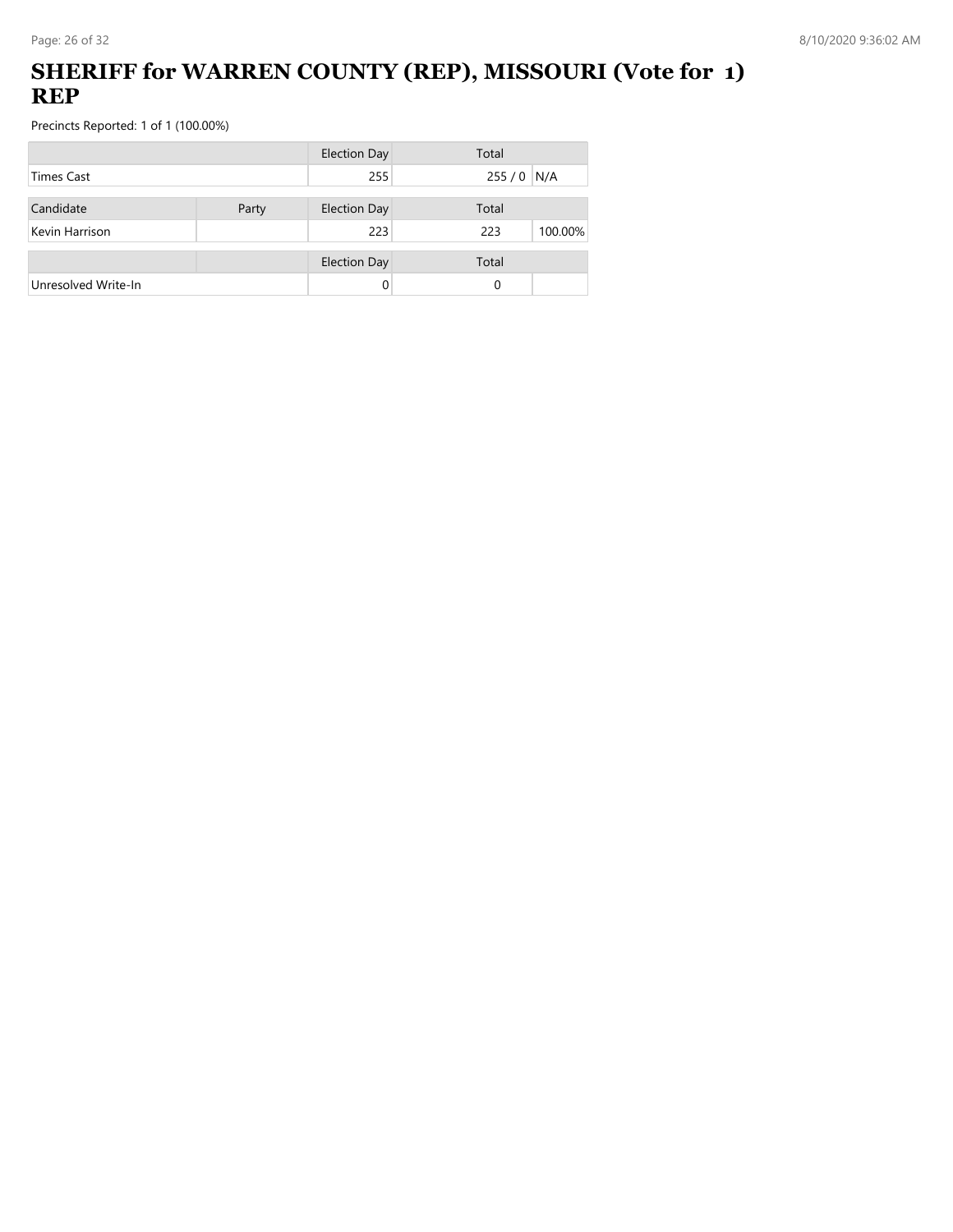## **SHERIFF for WARREN COUNTY (REP), MISSOURI (Vote for 1) REP**

|                     |       | <b>Election Day</b> | Total          |
|---------------------|-------|---------------------|----------------|
| Times Cast          |       | 255                 | $255/0$ N/A    |
| Candidate           | Party | <b>Election Day</b> | Total          |
| Kevin Harrison      |       | 223                 | 223<br>100.00% |
|                     |       | <b>Election Day</b> | Total          |
| Unresolved Write-In |       | 0                   | 0              |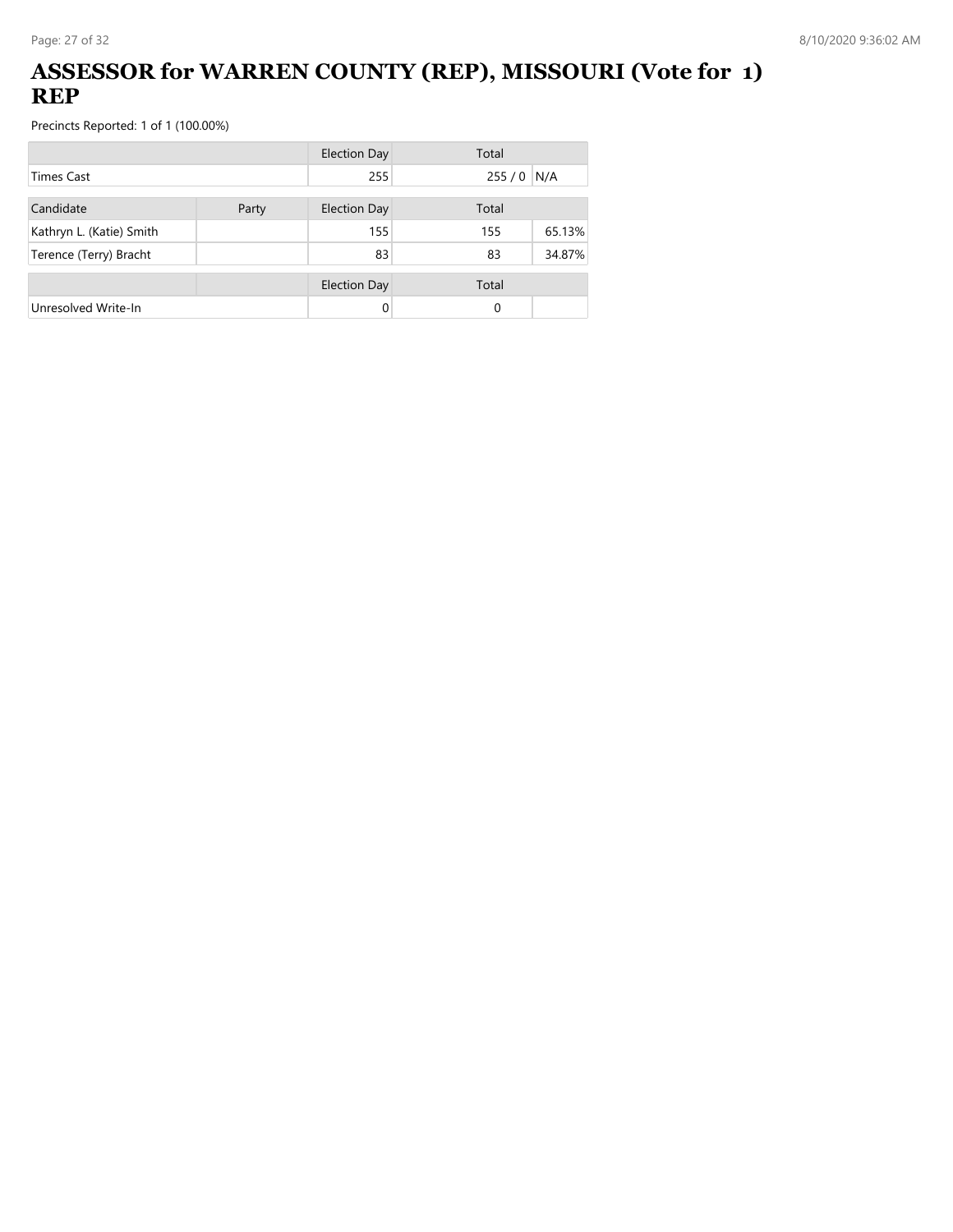## **ASSESSOR for WARREN COUNTY (REP), MISSOURI (Vote for 1) REP**

|                          |  | <b>Election Day</b> | Total    |        |  |
|--------------------------|--|---------------------|----------|--------|--|
| <b>Times Cast</b>        |  | 255                 | 255/0    | N/A    |  |
| Candidate<br>Party       |  | <b>Election Day</b> | Total    |        |  |
| Kathryn L. (Katie) Smith |  | 155                 | 155      | 65.13% |  |
| Terence (Terry) Bracht   |  | 83                  | 83       | 34.87% |  |
|                          |  | <b>Election Day</b> | Total    |        |  |
| Unresolved Write-In      |  | 0                   | $\Omega$ |        |  |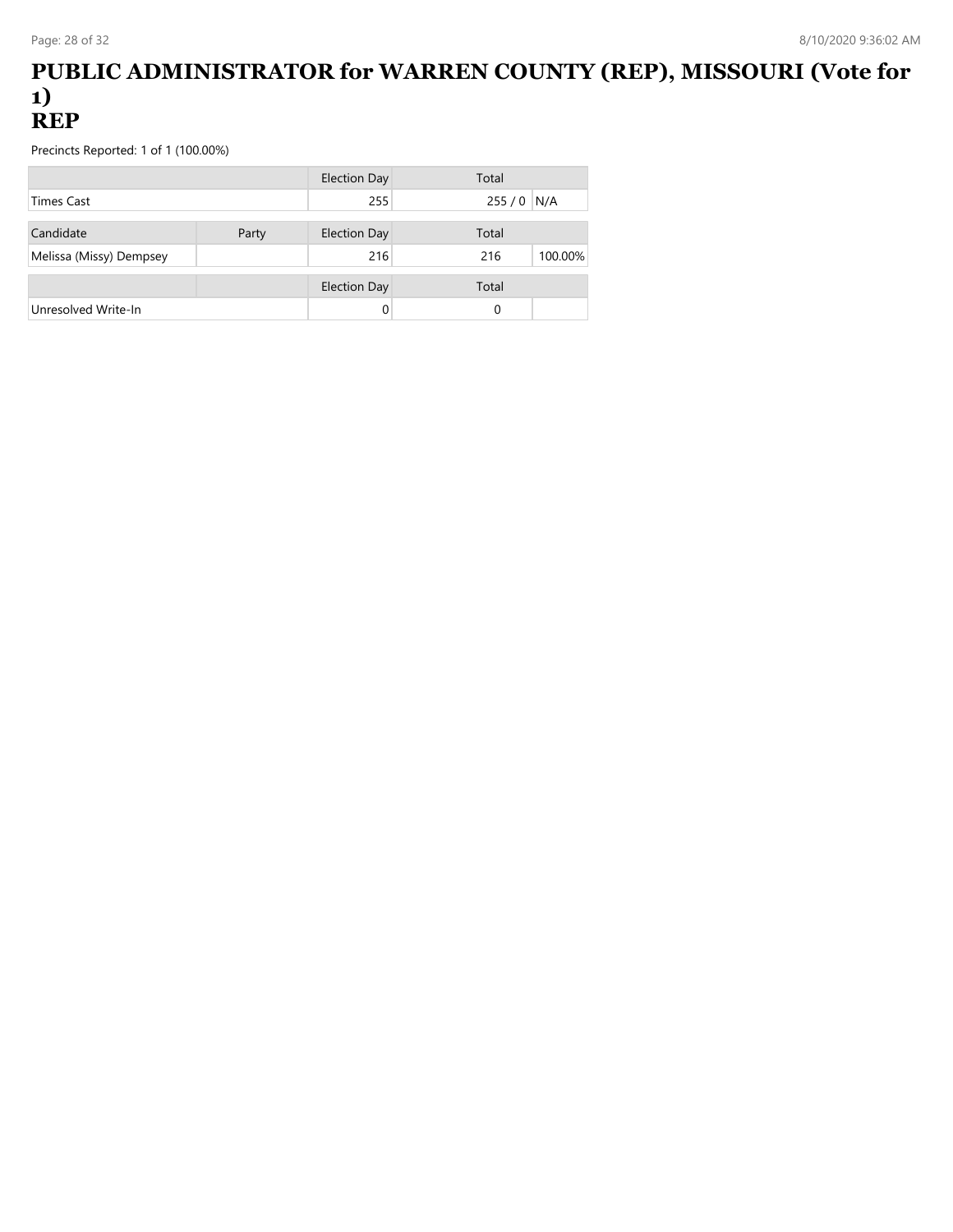#### **PUBLIC ADMINISTRATOR for WARREN COUNTY (REP), MISSOURI (Vote for 1) REP**

|                         |       | <b>Election Day</b> | Total          |
|-------------------------|-------|---------------------|----------------|
| Times Cast              |       | 255                 | 255 / 0 N/A    |
| Candidate               | Party | <b>Election Day</b> | Total          |
| Melissa (Missy) Dempsey |       | 216                 | 100.00%<br>216 |
|                         |       | <b>Election Day</b> | Total          |
| Unresolved Write-In     |       |                     | 0              |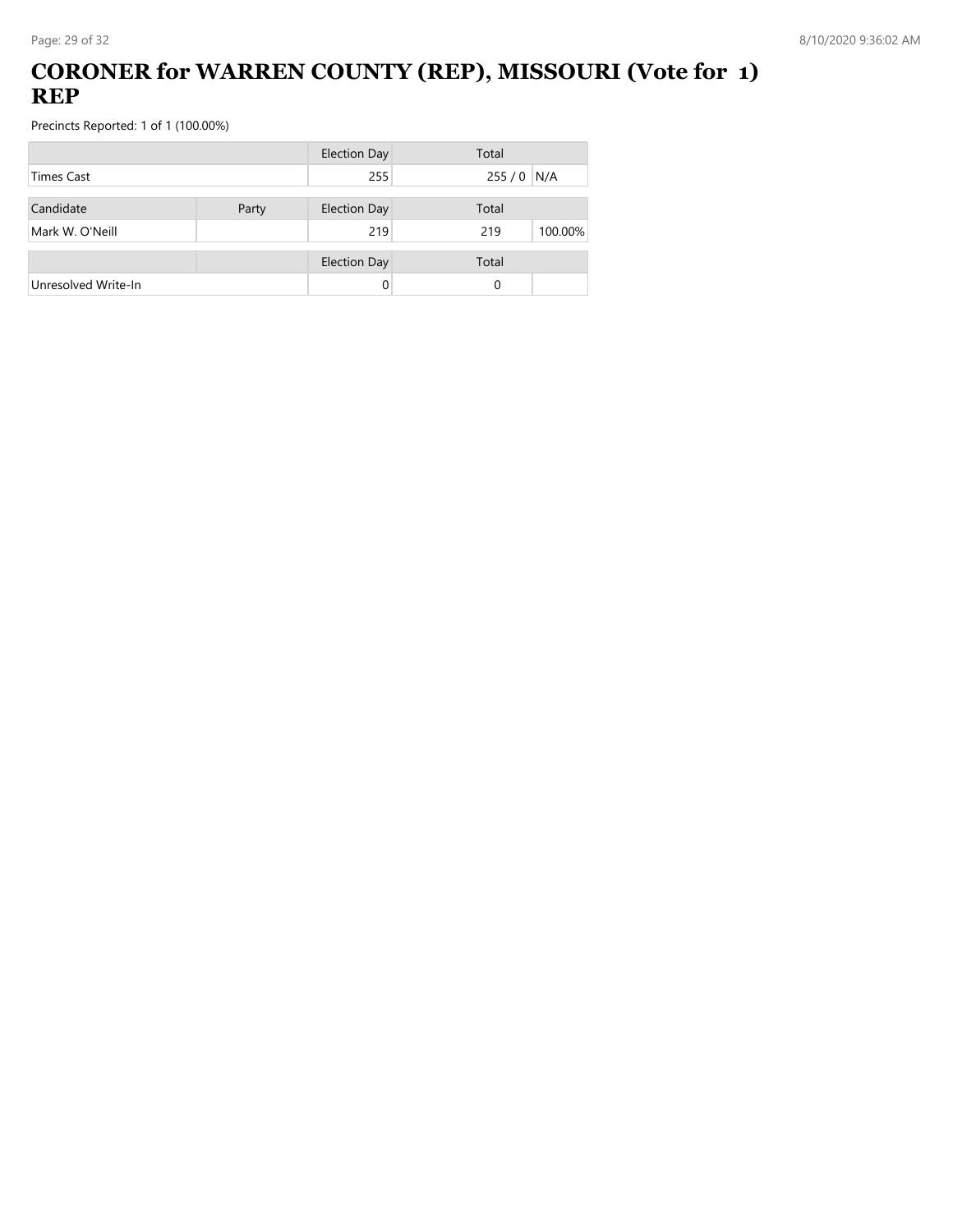## **CORONER for WARREN COUNTY (REP), MISSOURI (Vote for 1) REP**

|                     |       | <b>Election Day</b> | Total          |
|---------------------|-------|---------------------|----------------|
| <b>Times Cast</b>   |       | 255                 | $255/0$ N/A    |
| Candidate           | Party | <b>Election Day</b> | Total          |
| Mark W. O'Neill     |       | 219                 | 100.00%<br>219 |
|                     |       | <b>Election Day</b> | Total          |
| Unresolved Write-In |       | 0                   | 0              |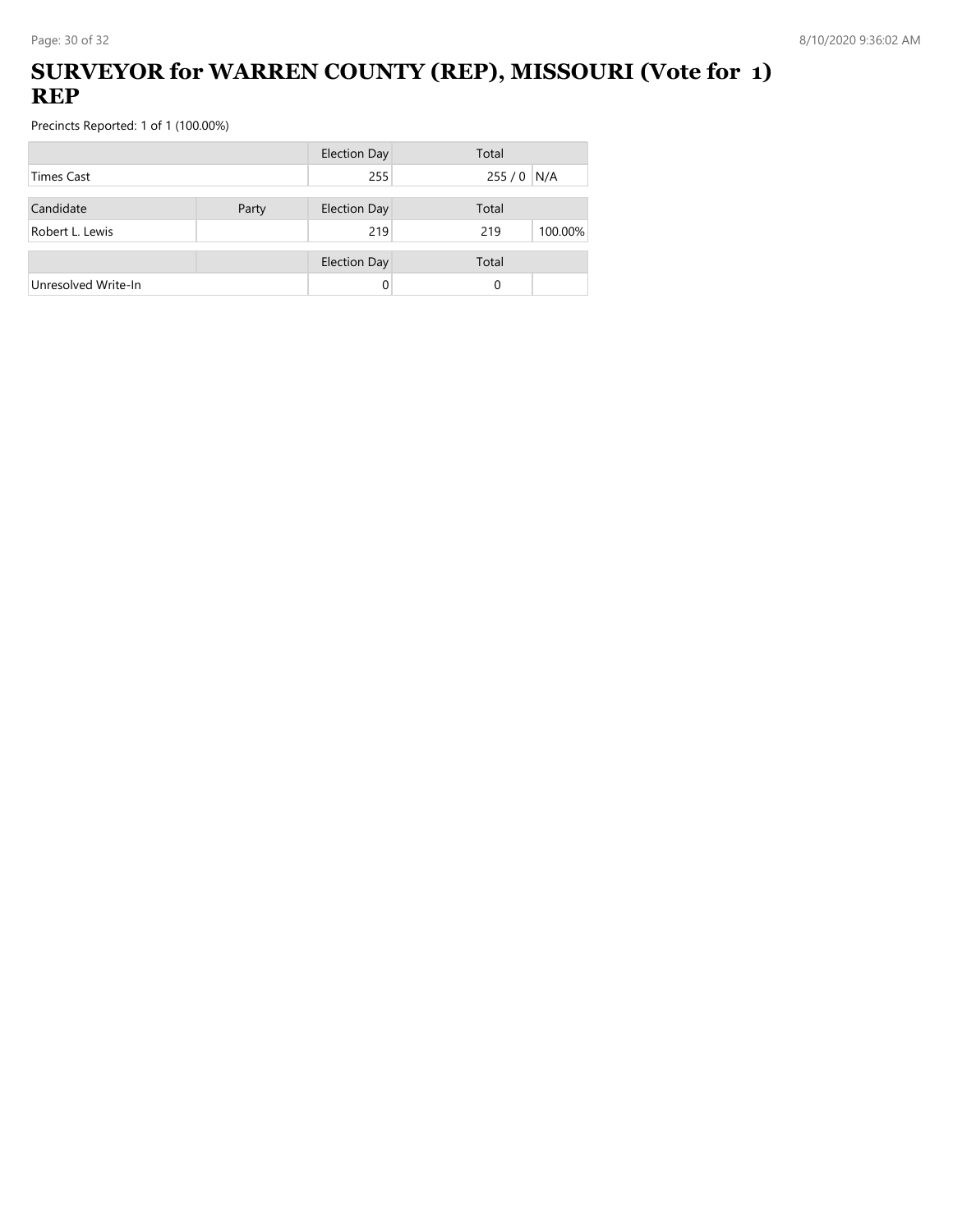## **SURVEYOR for WARREN COUNTY (REP), MISSOURI (Vote for 1) REP**

|                     |       | <b>Election Day</b> | Total          |
|---------------------|-------|---------------------|----------------|
| <b>Times Cast</b>   |       | 255                 | $255/0$ N/A    |
| Candidate           | Party | <b>Election Day</b> | Total          |
| Robert L. Lewis     |       | 219                 | 100.00%<br>219 |
|                     |       | <b>Election Day</b> | Total          |
| Unresolved Write-In |       |                     | 0              |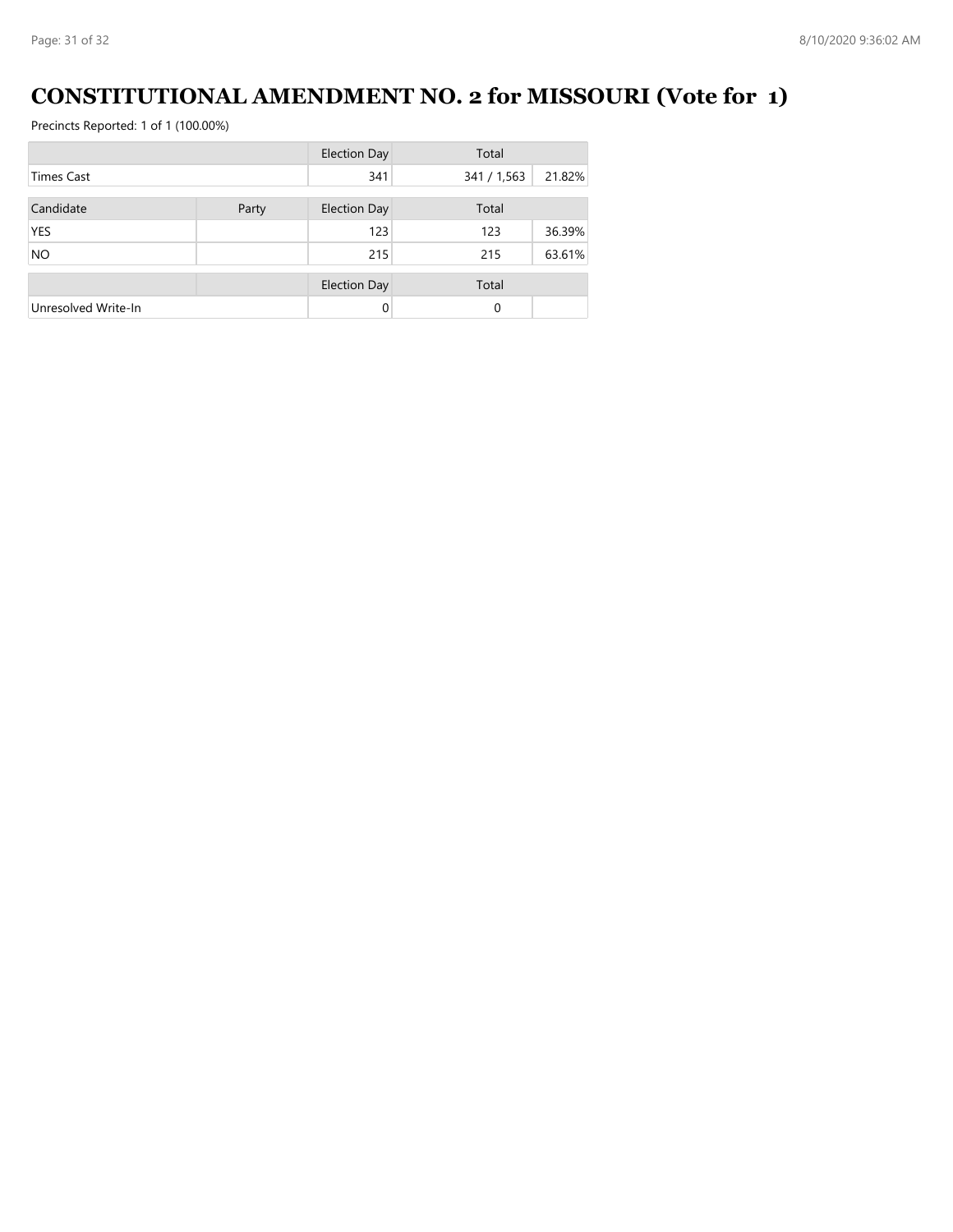# **CONSTITUTIONAL AMENDMENT NO. 2 for MISSOURI (Vote for 1)**

|                     |       | <b>Election Day</b> | Total       |        |
|---------------------|-------|---------------------|-------------|--------|
| <b>Times Cast</b>   |       | 341                 | 341 / 1,563 | 21.82% |
| Candidate           | Party | <b>Election Day</b> | Total       |        |
| <b>YES</b>          |       | 123                 | 123         | 36.39% |
| <b>NO</b>           |       | 215                 | 215         | 63.61% |
|                     |       | <b>Election Day</b> | Total       |        |
| Unresolved Write-In |       | $\Omega$            | 0           |        |